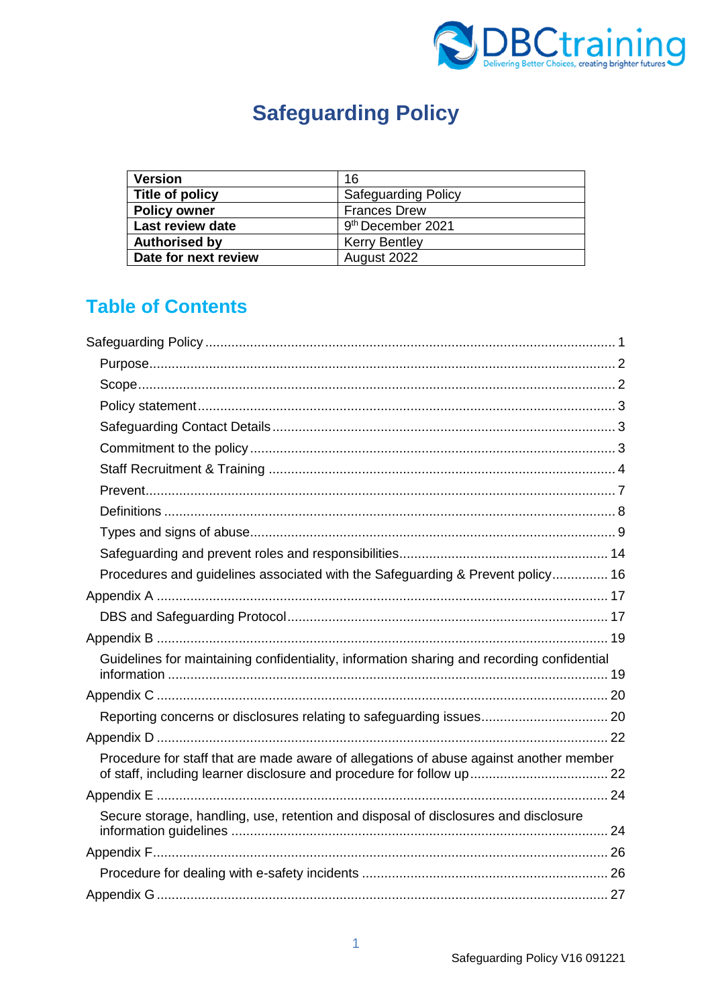

# **Safeguarding Policy**

<span id="page-0-0"></span>

| <b>Version</b>          | 16                            |
|-------------------------|-------------------------------|
| Title of policy         | <b>Safeguarding Policy</b>    |
| <b>Policy owner</b>     | <b>Frances Drew</b>           |
| <b>Last review date</b> | 9 <sup>th</sup> December 2021 |
| <b>Authorised by</b>    | <b>Kerry Bentley</b>          |
| Date for next review    | August 2022                   |

# **Table of Contents**

| Procedures and guidelines associated with the Safeguarding & Prevent policy 16             |  |
|--------------------------------------------------------------------------------------------|--|
|                                                                                            |  |
|                                                                                            |  |
|                                                                                            |  |
| Guidelines for maintaining confidentiality, information sharing and recording confidential |  |
|                                                                                            |  |
|                                                                                            |  |
|                                                                                            |  |
| Procedure for staff that are made aware of allegations of abuse against another member     |  |
|                                                                                            |  |
| Secure storage, handling, use, retention and disposal of disclosures and disclosure        |  |
|                                                                                            |  |
|                                                                                            |  |
|                                                                                            |  |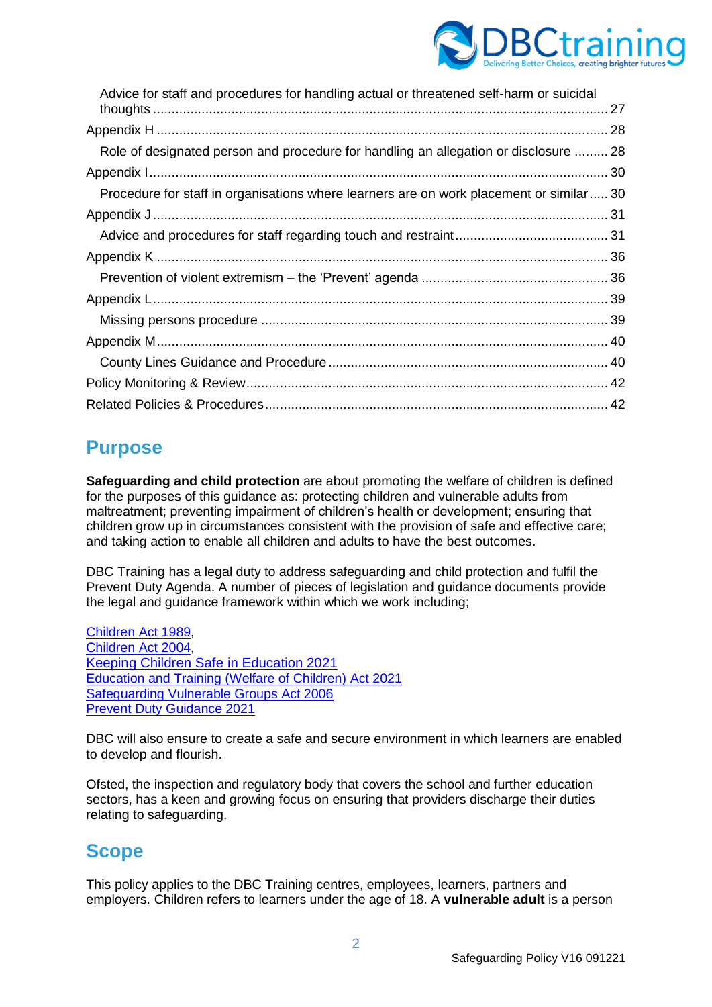

| Advice for staff and procedures for handling actual or threatened self-harm or suicidal |  |
|-----------------------------------------------------------------------------------------|--|
|                                                                                         |  |
| Role of designated person and procedure for handling an allegation or disclosure  28    |  |
|                                                                                         |  |
| Procedure for staff in organisations where learners are on work placement or similar 30 |  |
|                                                                                         |  |
|                                                                                         |  |
|                                                                                         |  |
|                                                                                         |  |
|                                                                                         |  |
|                                                                                         |  |
|                                                                                         |  |
|                                                                                         |  |
|                                                                                         |  |
|                                                                                         |  |

# <span id="page-1-0"></span>**Purpose**

**Safeguarding and child protection** are about promoting the welfare of children is defined for the purposes of this guidance as: protecting children and vulnerable adults from maltreatment; preventing impairment of children's health or development; ensuring that children grow up in circumstances consistent with the provision of safe and effective care; and taking action to enable all children and adults to have the best outcomes.

DBC Training has a legal duty to address safeguarding and child protection and fulfil the Prevent Duty Agenda. A number of pieces of legislation and guidance documents provide the legal and guidance framework within which we work including;

[Children Act 1989,](https://www.legislation.gov.uk/ukpga/1989/41/contents) [Children Act 2004,](https://www.legislation.gov.uk/ukpga/2004/31/contents) [Keeping Children Safe in Education 2021](https://assets.publishing.service.gov.uk/government/uploads/system/uploads/attachment_data/file/1021914/KCSIE_2021_September_guidance.pdf) [Education and Training \(Welfare of Children\) Act 2021](https://www.legislation.gov.uk/en/ukpga/2021/16/enacted) [Safeguarding Vulnerable Groups Act 2006](https://www.legislation.gov.uk/ukpga/2006/47/contents) [Prevent Duty Guidance 2021](https://www.gov.uk/government/publications/prevent-duty-guidance/revised-prevent-duty-guidance-for-england-and-wales)

DBC will also ensure to create a safe and secure environment in which learners are enabled to develop and flourish.

Ofsted, the inspection and regulatory body that covers the school and further education sectors, has a keen and growing focus on ensuring that providers discharge their duties relating to safeguarding.

# <span id="page-1-1"></span>**Scope**

This policy applies to the DBC Training centres, employees, learners, partners and employers. Children refers to learners under the age of 18. A **vulnerable adult** is a person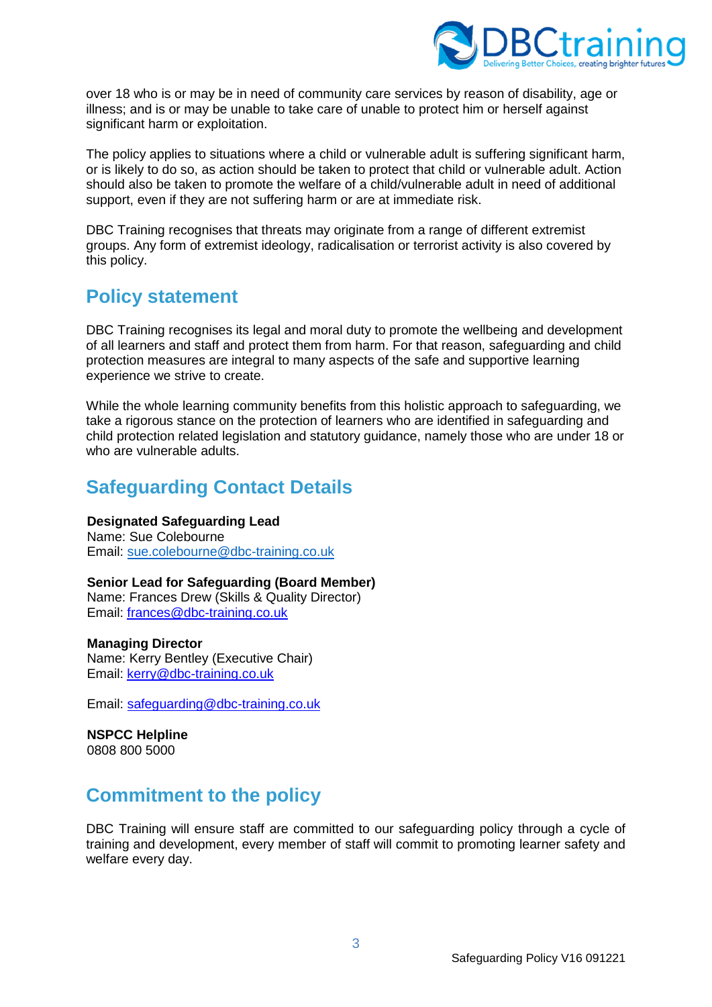

over 18 who is or may be in need of community care services by reason of disability, age or illness; and is or may be unable to take care of unable to protect him or herself against significant harm or exploitation.

The policy applies to situations where a child or vulnerable adult is suffering significant harm, or is likely to do so, as action should be taken to protect that child or vulnerable adult. Action should also be taken to promote the welfare of a child/vulnerable adult in need of additional support, even if they are not suffering harm or are at immediate risk.

DBC Training recognises that threats may originate from a range of different extremist groups. Any form of extremist ideology, radicalisation or terrorist activity is also covered by this policy.

# <span id="page-2-0"></span>**Policy statement**

DBC Training recognises its legal and moral duty to promote the wellbeing and development of all learners and staff and protect them from harm. For that reason, safeguarding and child protection measures are integral to many aspects of the safe and supportive learning experience we strive to create.

While the whole learning community benefits from this holistic approach to safeguarding, we take a rigorous stance on the protection of learners who are identified in safeguarding and child protection related legislation and statutory guidance, namely those who are under 18 or who are vulnerable adults.

# <span id="page-2-1"></span>**Safeguarding Contact Details**

## **Designated Safeguarding Lead**

Name: Sue Colebourne Email: sue.colebourne@dbc-training.co.uk

## **Senior Lead for Safeguarding (Board Member)**

Name: Frances Drew (Skills & Quality Director) Email: [frances@dbc-training.co.uk](mailto:frances@dbc-training.co.uk)

#### **Managing Director**

Name: Kerry Bentley (Executive Chair) Email: [kerry@dbc-training.co.uk](mailto:kerry@dbc-training.co.uk)

Email: [safeguarding@dbc-training.co.uk](mailto:safeguarding@dbc-training.co.uk)

**NSPCC Helpline**  0808 800 5000

# <span id="page-2-2"></span>**Commitment to the policy**

DBC Training will ensure staff are committed to our safeguarding policy through a cycle of training and development, every member of staff will commit to promoting learner safety and welfare every day.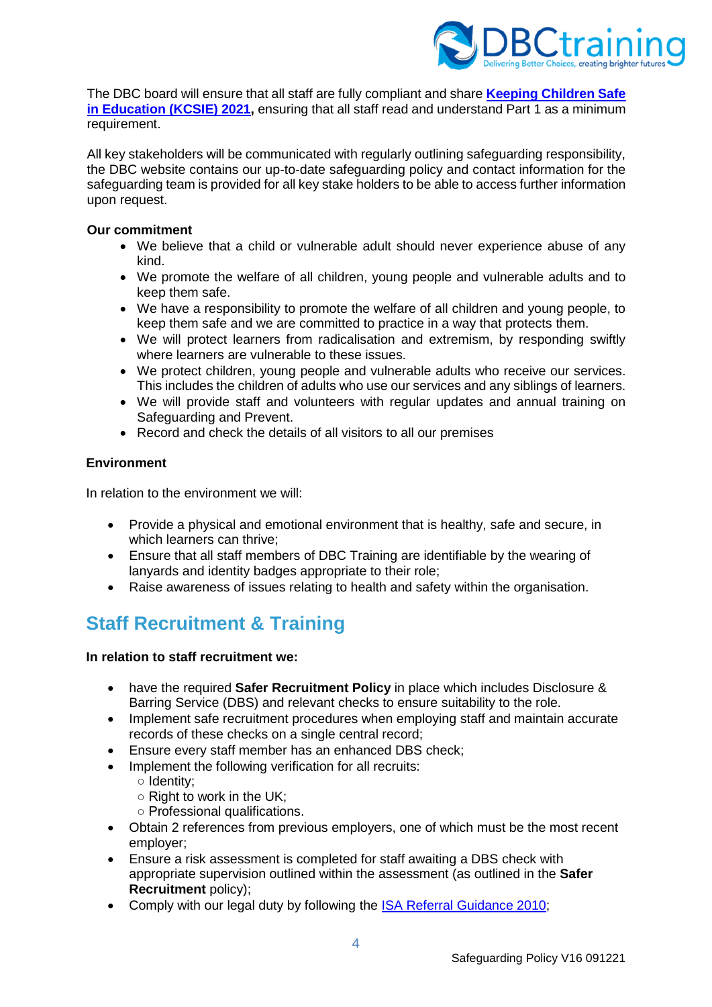

The DBC board will ensure that all staff are fully compliant and share **[Keeping Children Safe](https://assets.publishing.service.gov.uk/government/uploads/system/uploads/attachment_data/file/1021914/KCSIE_2021_September_guidance.pdf)  [in Education](https://assets.publishing.service.gov.uk/government/uploads/system/uploads/attachment_data/file/1021914/KCSIE_2021_September_guidance.pdf) (KCSIE) 2021,** ensuring that all staff read and understand Part 1 as a minimum requirement.

All key stakeholders will be communicated with regularly outlining safeguarding responsibility, the DBC website contains our up-to-date safeguarding policy and contact information for the safeguarding team is provided for all key stake holders to be able to access further information upon request.

### **Our commitment**

- We believe that a child or vulnerable adult should never experience abuse of any kind.
- We promote the welfare of all children, young people and vulnerable adults and to keep them safe.
- We have a responsibility to promote the welfare of all children and young people, to keep them safe and we are committed to practice in a way that protects them.
- We will protect learners from radicalisation and extremism, by responding swiftly where learners are vulnerable to these issues.
- We protect children, young people and vulnerable adults who receive our services. This includes the children of adults who use our services and any siblings of learners.
- We will provide staff and volunteers with regular updates and annual training on Safeguarding and Prevent.
- Record and check the details of all visitors to all our premises

# **Environment**

In relation to the environment we will:

- Provide a physical and emotional environment that is healthy, safe and secure, in which learners can thrive;
- Ensure that all staff members of DBC Training are identifiable by the wearing of lanyards and identity badges appropriate to their role;
- Raise awareness of issues relating to health and safety within the organisation.

# <span id="page-3-0"></span>**Staff Recruitment & Training**

## **In relation to staff recruitment we:**

- have the required **Safer Recruitment Policy** in place which includes Disclosure & Barring Service (DBS) and relevant checks to ensure suitability to the role.
- Implement safe recruitment procedures when employing staff and maintain accurate records of these checks on a single central record;
- Ensure every staff member has an enhanced DBS check;
- Implement the following verification for all recruits:
	- Identity;
	- Right to work in the UK;
	- Professional qualifications.
- Obtain 2 references from previous employers, one of which must be the most recent employer;
- Ensure a risk assessment is completed for staff awaiting a DBS check with appropriate supervision outlined within the assessment (as outlined in the **Safer Recruitment** policy);
- Comply with our legal duty by following the ISA [Referral Guidance 2010;](https://www.merton.gov.uk/assets/Documents/isa_referral_guidance.pdf)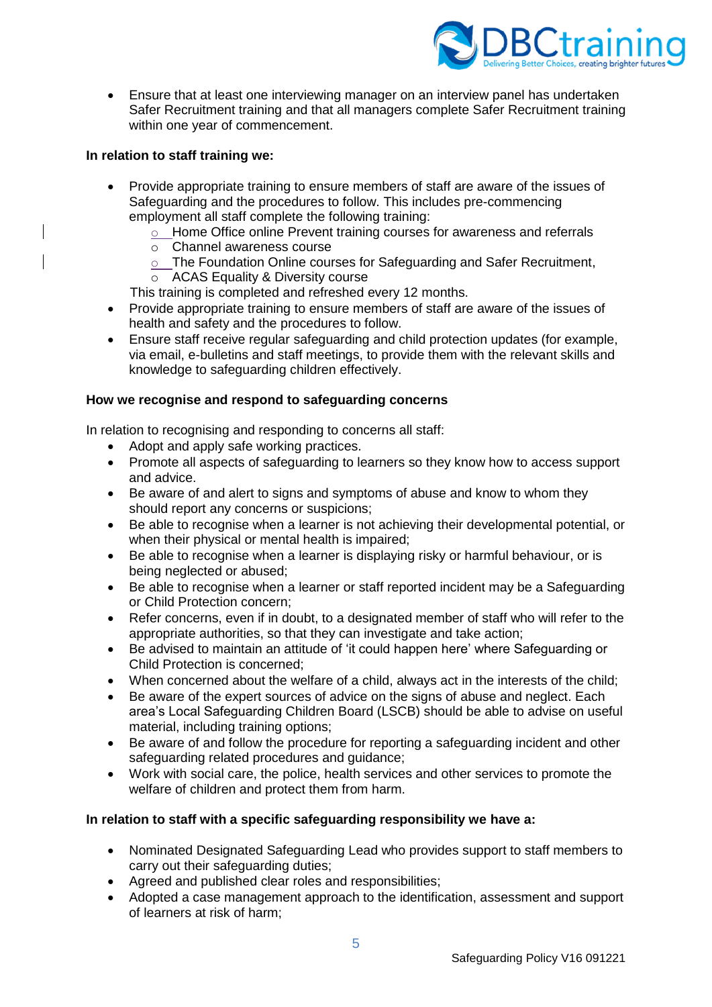

• Ensure that at least one interviewing manager on an interview panel has undertaken Safer Recruitment training and that all managers complete Safer Recruitment training within one year of commencement.

## **In relation to staff training we:**

- Provide appropriate training to ensure members of staff are aware of the issues of Safeguarding and the procedures to follow. This includes pre-commencing employment all staff complete the following training:
	- o Home Office online Prevent training courses for awareness and referrals
	- o Channel awareness course
	- o The Foundation Online courses for Safeguarding and Safer Recruitment,
	- ACAS Equality & Diversity course
	- This training is completed and refreshed every 12 months.
- Provide appropriate training to ensure members of staff are aware of the issues of health and safety and the procedures to follow.
- Ensure staff receive regular safeguarding and child protection updates (for example, via email, e-bulletins and staff meetings, to provide them with the relevant skills and knowledge to safeguarding children effectively.

#### **How we recognise and respond to safeguarding concerns**

In relation to recognising and responding to concerns all staff:

- Adopt and apply safe working practices.
- Promote all aspects of safeguarding to learners so they know how to access support and advice.
- Be aware of and alert to signs and symptoms of abuse and know to whom they should report any concerns or suspicions;
- Be able to recognise when a learner is not achieving their developmental potential, or when their physical or mental health is impaired;
- Be able to recognise when a learner is displaying risky or harmful behaviour, or is being neglected or abused;
- Be able to recognise when a learner or staff reported incident may be a Safeguarding or Child Protection concern;
- Refer concerns, even if in doubt, to a designated member of staff who will refer to the appropriate authorities, so that they can investigate and take action;
- Be advised to maintain an attitude of 'it could happen here' where Safeguarding or Child Protection is concerned;
- When concerned about the welfare of a child, always act in the interests of the child;
- Be aware of the expert sources of advice on the signs of abuse and neglect. Each area's Local Safeguarding Children Board (LSCB) should be able to advise on useful material, including training options;
- Be aware of and follow the procedure for reporting a safeguarding incident and other safeguarding related procedures and guidance;
- Work with social care, the police, health services and other services to promote the welfare of children and protect them from harm.

## **In relation to staff with a specific safeguarding responsibility we have a:**

- Nominated Designated Safeguarding Lead who provides support to staff members to carry out their safeguarding duties;
- Agreed and published clear roles and responsibilities;
- Adopted a case management approach to the identification, assessment and support of learners at risk of harm;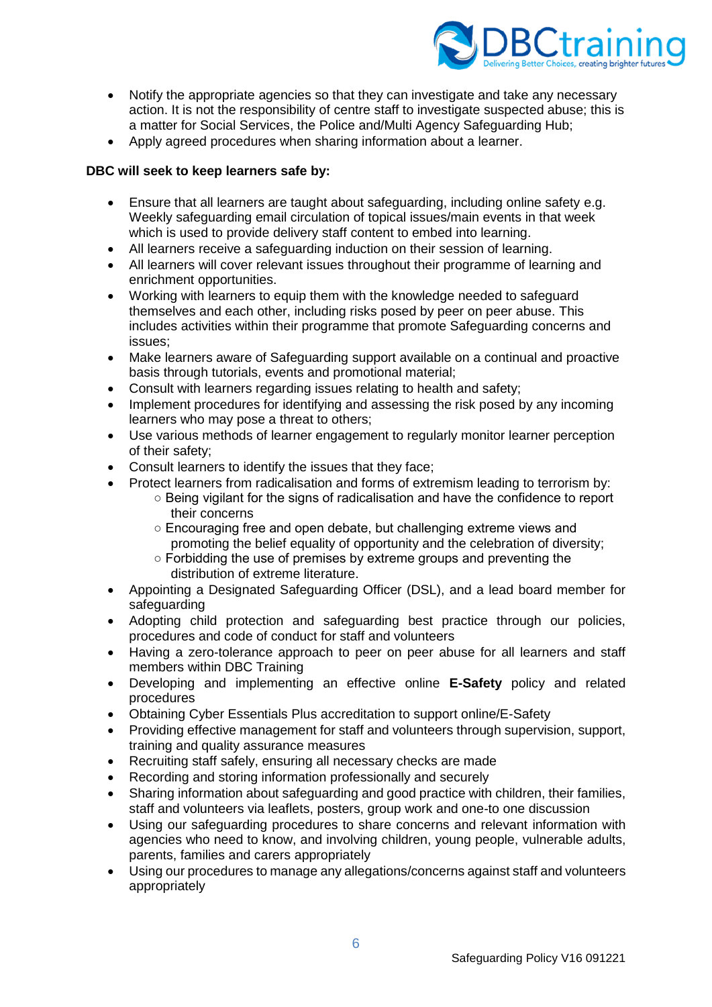

- Notify the appropriate agencies so that they can investigate and take any necessary action. It is not the responsibility of centre staff to investigate suspected abuse; this is a matter for Social Services, the Police and/Multi Agency Safeguarding Hub;
- Apply agreed procedures when sharing information about a learner.

## **DBC will seek to keep learners safe by:**

- Ensure that all learners are taught about safeguarding, including online safety e.g. Weekly safeguarding email circulation of topical issues/main events in that week which is used to provide delivery staff content to embed into learning.
- All learners receive a safeguarding induction on their session of learning.
- All learners will cover relevant issues throughout their programme of learning and enrichment opportunities.
- Working with learners to equip them with the knowledge needed to safeguard themselves and each other, including risks posed by peer on peer abuse. This includes activities within their programme that promote Safeguarding concerns and issues;
- Make learners aware of Safeguarding support available on a continual and proactive basis through tutorials, events and promotional material;
- Consult with learners regarding issues relating to health and safety;
- Implement procedures for identifying and assessing the risk posed by any incoming learners who may pose a threat to others;
- Use various methods of learner engagement to regularly monitor learner perception of their safety;
- Consult learners to identify the issues that they face;
- Protect learners from radicalisation and forms of extremism leading to terrorism by:
	- Being vigilant for the signs of radicalisation and have the confidence to report their concerns
	- Encouraging free and open debate, but challenging extreme views and promoting the belief equality of opportunity and the celebration of diversity;
	- Forbidding the use of premises by extreme groups and preventing the distribution of extreme literature.
- Appointing a Designated Safeguarding Officer (DSL), and a lead board member for safeguarding
- Adopting child protection and safeguarding best practice through our policies, procedures and code of conduct for staff and volunteers
- Having a zero-tolerance approach to peer on peer abuse for all learners and staff members within DBC Training
- Developing and implementing an effective online **E-Safety** policy and related procedures
- Obtaining Cyber Essentials Plus accreditation to support online/E-Safety
- Providing effective management for staff and volunteers through supervision, support, training and quality assurance measures
- Recruiting staff safely, ensuring all necessary checks are made
- Recording and storing information professionally and securely
- Sharing information about safeguarding and good practice with children, their families, staff and volunteers via leaflets, posters, group work and one-to one discussion
- Using our safeguarding procedures to share concerns and relevant information with agencies who need to know, and involving children, young people, vulnerable adults, parents, families and carers appropriately
- Using our procedures to manage any allegations/concerns against staff and volunteers appropriately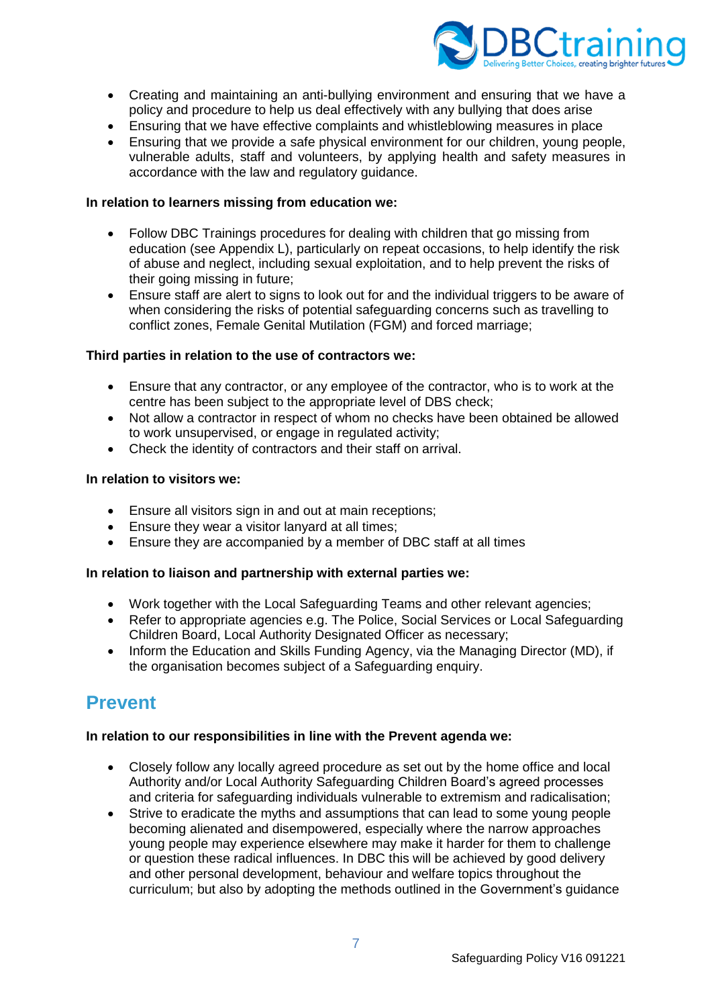

- Creating and maintaining an anti-bullying environment and ensuring that we have a policy and procedure to help us deal effectively with any bullying that does arise
- Ensuring that we have effective complaints and whistleblowing measures in place
- Ensuring that we provide a safe physical environment for our children, young people, vulnerable adults, staff and volunteers, by applying health and safety measures in accordance with the law and regulatory guidance.

#### **In relation to learners missing from education we:**

- Follow DBC Trainings procedures for dealing with children that go missing from education (see Appendix L), particularly on repeat occasions, to help identify the risk of abuse and neglect, including sexual exploitation, and to help prevent the risks of their going missing in future;
- Ensure staff are alert to signs to look out for and the individual triggers to be aware of when considering the risks of potential safeguarding concerns such as travelling to conflict zones, Female Genital Mutilation (FGM) and forced marriage;

#### **Third parties in relation to the use of contractors we:**

- Ensure that any contractor, or any employee of the contractor, who is to work at the centre has been subject to the appropriate level of DBS check;
- Not allow a contractor in respect of whom no checks have been obtained be allowed to work unsupervised, or engage in regulated activity;
- Check the identity of contractors and their staff on arrival.

#### **In relation to visitors we:**

- Ensure all visitors sign in and out at main receptions:
- Ensure they wear a visitor lanyard at all times;
- Ensure they are accompanied by a member of DBC staff at all times

## **In relation to liaison and partnership with external parties we:**

- Work together with the Local Safeguarding Teams and other relevant agencies;
- Refer to appropriate agencies e.g. The Police, Social Services or Local Safeguarding Children Board, Local Authority Designated Officer as necessary;
- Inform the Education and Skills Funding Agency, via the Managing Director (MD), if the organisation becomes subject of a Safeguarding enquiry.

# <span id="page-6-0"></span>**Prevent**

## **In relation to our responsibilities in line with the Prevent agenda we:**

- Closely follow any locally agreed procedure as set out by the home office and local Authority and/or Local Authority Safeguarding Children Board's agreed processes and criteria for safeguarding individuals vulnerable to extremism and radicalisation;
- Strive to eradicate the myths and assumptions that can lead to some young people becoming alienated and disempowered, especially where the narrow approaches young people may experience elsewhere may make it harder for them to challenge or question these radical influences. In DBC this will be achieved by good delivery and other personal development, behaviour and welfare topics throughout the curriculum; but also by adopting the methods outlined in the Government's guidance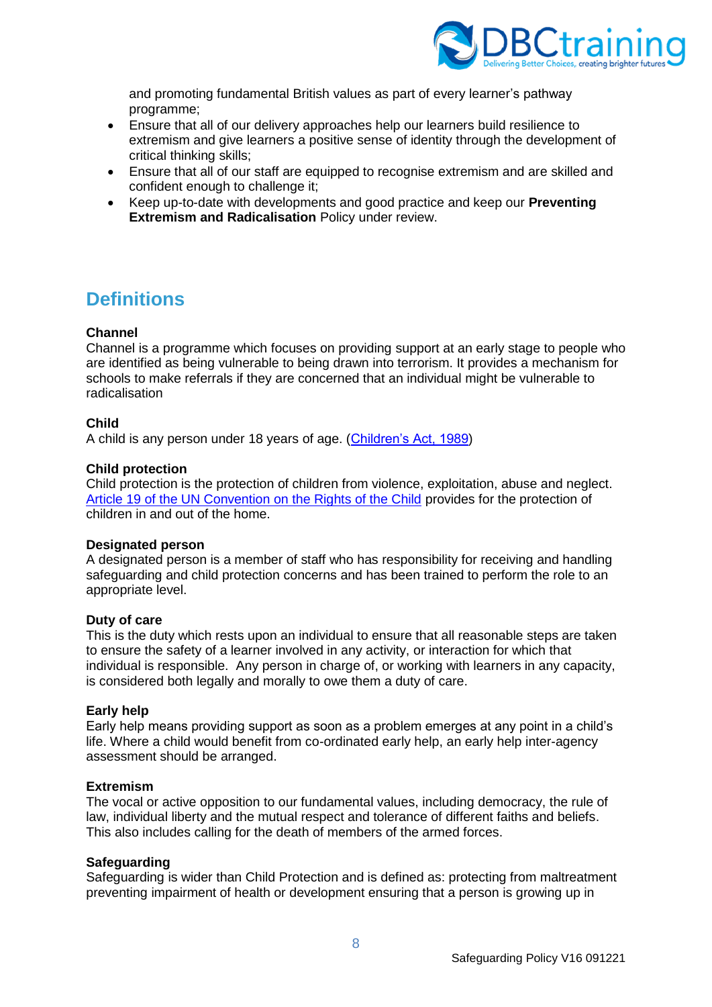

and promoting fundamental British values as part of every learner's pathway programme;

- Ensure that all of our delivery approaches help our learners build resilience to extremism and give learners a positive sense of identity through the development of critical thinking skills;
- Ensure that all of our staff are equipped to recognise extremism and are skilled and confident enough to challenge it;
- Keep up-to-date with developments and good practice and keep our **Preventing Extremism and Radicalisation** Policy under review.

# <span id="page-7-0"></span>**Definitions**

## **Channel**

Channel is a programme which focuses on providing support at an early stage to people who are identified as being vulnerable to being drawn into terrorism. It provides a mechanism for schools to make referrals if they are concerned that an individual might be vulnerable to radicalisation

# **Child**

A child is any person under 18 years of age. [\(Children's Act, 1989\)](https://www.legislation.gov.uk/ukpga/1989/41/contents)

## **Child protection**

Child protection is the protection of children from violence, exploitation, abuse and neglect. [Article 19 of the UN Convention on the Rights of the Child](https://downloads.unicef.org.uk/wp-content/uploads/2010/05/UNCRC_united_nations_convention_on_the_rights_of_the_child.pdf) provides for the protection of children in and out of the home.

## **Designated person**

A designated person is a member of staff who has responsibility for receiving and handling safeguarding and child protection concerns and has been trained to perform the role to an appropriate level.

## **Duty of care**

This is the duty which rests upon an individual to ensure that all reasonable steps are taken to ensure the safety of a learner involved in any activity, or interaction for which that individual is responsible. Any person in charge of, or working with learners in any capacity, is considered both legally and morally to owe them a duty of care.

## **Early help**

Early help means providing support as soon as a problem emerges at any point in a child's life. Where a child would benefit from co-ordinated early help, an early help inter-agency assessment should be arranged.

#### **Extremism**

The vocal or active opposition to our fundamental values, including democracy, the rule of law, individual liberty and the mutual respect and tolerance of different faiths and beliefs. This also includes calling for the death of members of the armed forces.

## **Safeguarding**

Safeguarding is wider than Child Protection and is defined as: protecting from maltreatment preventing impairment of health or development ensuring that a person is growing up in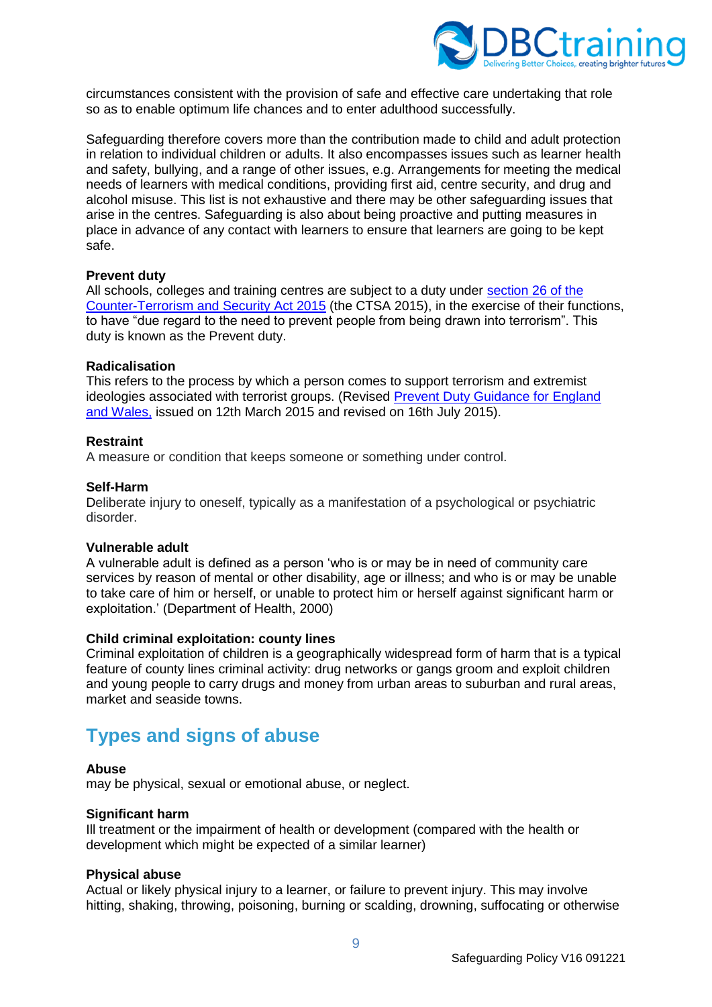

circumstances consistent with the provision of safe and effective care undertaking that role so as to enable optimum life chances and to enter adulthood successfully.

Safeguarding therefore covers more than the contribution made to child and adult protection in relation to individual children or adults. It also encompasses issues such as learner health and safety, bullying, and a range of other issues, e.g. Arrangements for meeting the medical needs of learners with medical conditions, providing first aid, centre security, and drug and alcohol misuse. This list is not exhaustive and there may be other safeguarding issues that arise in the centres. Safeguarding is also about being proactive and putting measures in place in advance of any contact with learners to ensure that learners are going to be kept safe.

#### **Prevent duty**

All schools, colleges and training centres are subject to a duty under [section 26 of the](https://www.gov.uk/government/publications/prevent-duty-guidance/revised-prevent-duty-guidance-for-england-and-wales#:~:text=Section%2026%20of%20the%20Counter,from%20being%20drawn%20into%20terrorism%E2%80%9D.)  [Counter-Terrorism and Security Act 2015](https://www.gov.uk/government/publications/prevent-duty-guidance/revised-prevent-duty-guidance-for-england-and-wales#:~:text=Section%2026%20of%20the%20Counter,from%20being%20drawn%20into%20terrorism%E2%80%9D.) (the CTSA 2015), in the exercise of their functions, to have "due regard to the need to prevent people from being drawn into terrorism". This duty is known as the Prevent duty.

#### **Radicalisation**

This refers to the process by which a person comes to support terrorism and extremist ideologies associated with terrorist groups. (Revised Prevent Duty Guidance for England [and Wales,](https://www.lbhf.gov.uk/sites/default/files/Prevent_Duty_Guidance_for_England_and_Wales.pdf) issued on 12th March 2015 and revised on 16th July 2015).

#### **Restraint**

A measure or condition that keeps someone or something under control.

#### **Self-Harm**

Deliberate injury to oneself, typically as a manifestation of a psychological or psychiatric disorder.

#### **Vulnerable adult**

A vulnerable adult is defined as a person 'who is or may be in need of community care services by reason of mental or other disability, age or illness; and who is or may be unable to take care of him or herself, or unable to protect him or herself against significant harm or exploitation.' (Department of Health, 2000)

#### **Child criminal exploitation: county lines**

Criminal exploitation of children is a geographically widespread form of harm that is a typical feature of county lines criminal activity: drug networks or gangs groom and exploit children and young people to carry drugs and money from urban areas to suburban and rural areas, market and seaside towns.

# <span id="page-8-0"></span>**Types and signs of abuse**

#### **Abuse**

may be physical, sexual or emotional abuse, or neglect.

#### **Significant harm**

Ill treatment or the impairment of health or development (compared with the health or development which might be expected of a similar learner)

#### **Physical abuse**

Actual or likely physical injury to a learner, or failure to prevent injury. This may involve hitting, shaking, throwing, poisoning, burning or scalding, drowning, suffocating or otherwise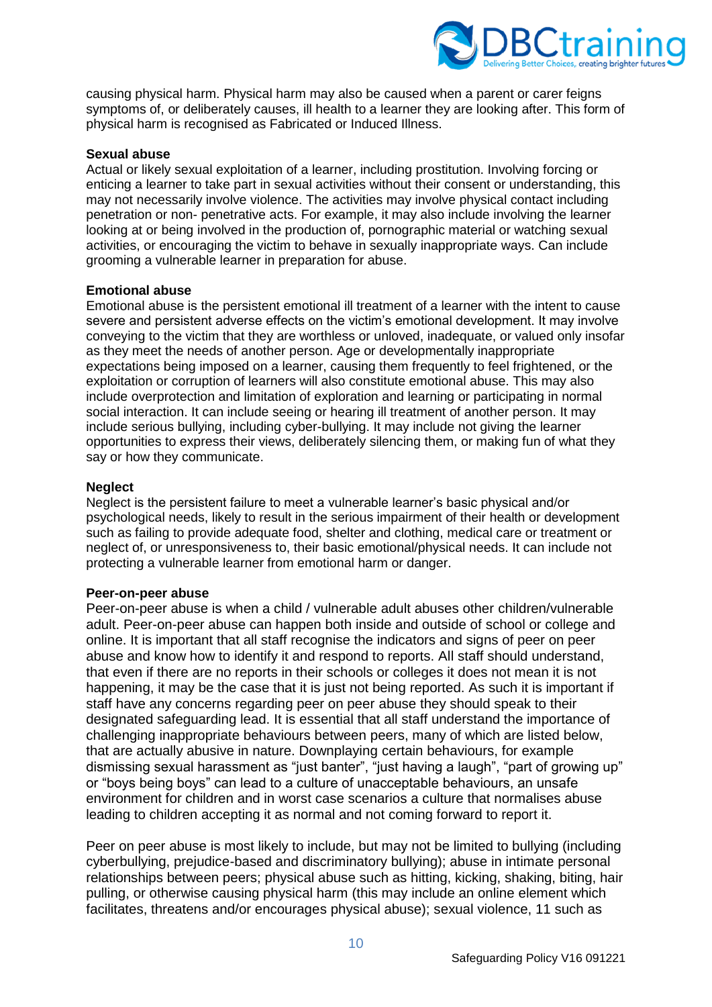

causing physical harm. Physical harm may also be caused when a parent or carer feigns symptoms of, or deliberately causes, ill health to a learner they are looking after. This form of physical harm is recognised as Fabricated or Induced Illness.

#### **Sexual abuse**

Actual or likely sexual exploitation of a learner, including prostitution. Involving forcing or enticing a learner to take part in sexual activities without their consent or understanding, this may not necessarily involve violence. The activities may involve physical contact including penetration or non- penetrative acts. For example, it may also include involving the learner looking at or being involved in the production of, pornographic material or watching sexual activities, or encouraging the victim to behave in sexually inappropriate ways. Can include grooming a vulnerable learner in preparation for abuse.

#### **Emotional abuse**

Emotional abuse is the persistent emotional ill treatment of a learner with the intent to cause severe and persistent adverse effects on the victim's emotional development. It may involve conveying to the victim that they are worthless or unloved, inadequate, or valued only insofar as they meet the needs of another person. Age or developmentally inappropriate expectations being imposed on a learner, causing them frequently to feel frightened, or the exploitation or corruption of learners will also constitute emotional abuse. This may also include overprotection and limitation of exploration and learning or participating in normal social interaction. It can include seeing or hearing ill treatment of another person. It may include serious bullying, including cyber-bullying. It may include not giving the learner opportunities to express their views, deliberately silencing them, or making fun of what they say or how they communicate.

#### **Neglect**

Neglect is the persistent failure to meet a vulnerable learner's basic physical and/or psychological needs, likely to result in the serious impairment of their health or development such as failing to provide adequate food, shelter and clothing, medical care or treatment or neglect of, or unresponsiveness to, their basic emotional/physical needs. It can include not protecting a vulnerable learner from emotional harm or danger.

#### **Peer-on-peer abuse**

Peer-on-peer abuse is when a child / vulnerable adult abuses other children/vulnerable adult. Peer-on-peer abuse can happen both inside and outside of school or college and online. It is important that all staff recognise the indicators and signs of peer on peer abuse and know how to identify it and respond to reports. All staff should understand, that even if there are no reports in their schools or colleges it does not mean it is not happening, it may be the case that it is just not being reported. As such it is important if staff have any concerns regarding peer on peer abuse they should speak to their designated safeguarding lead. It is essential that all staff understand the importance of challenging inappropriate behaviours between peers, many of which are listed below, that are actually abusive in nature. Downplaying certain behaviours, for example dismissing sexual harassment as "just banter", "just having a laugh", "part of growing up" or "boys being boys" can lead to a culture of unacceptable behaviours, an unsafe environment for children and in worst case scenarios a culture that normalises abuse leading to children accepting it as normal and not coming forward to report it.

Peer on peer abuse is most likely to include, but may not be limited to bullying (including cyberbullying, prejudice-based and discriminatory bullying); abuse in intimate personal relationships between peers; physical abuse such as hitting, kicking, shaking, biting, hair pulling, or otherwise causing physical harm (this may include an online element which facilitates, threatens and/or encourages physical abuse); sexual violence, 11 such as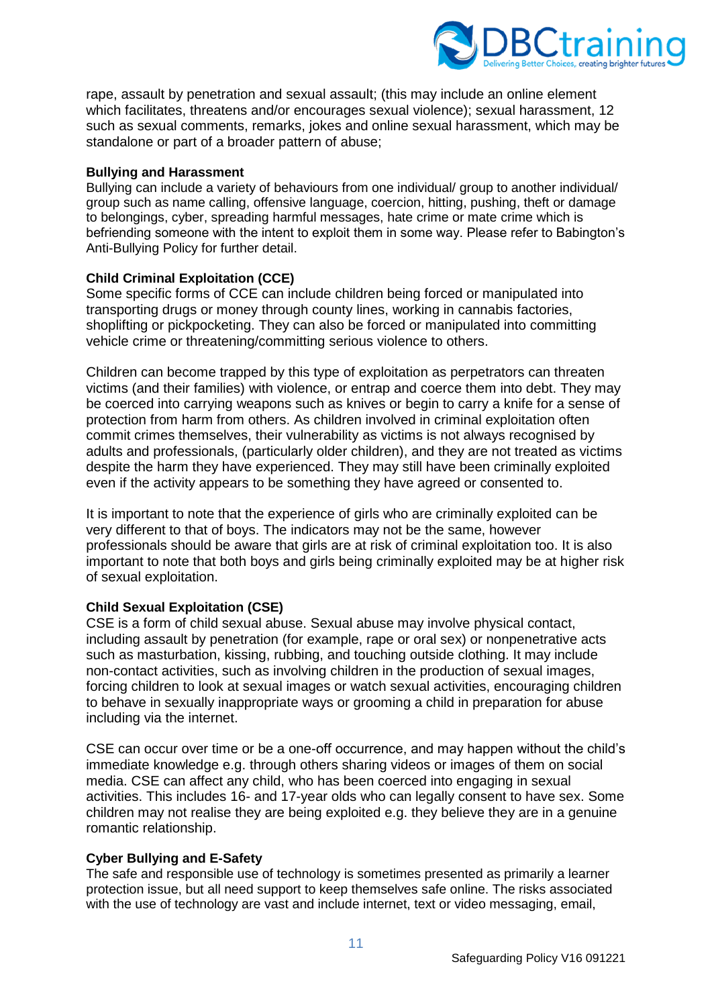

rape, assault by penetration and sexual assault; (this may include an online element which facilitates, threatens and/or encourages sexual violence); sexual harassment, 12 such as sexual comments, remarks, jokes and online sexual harassment, which may be standalone or part of a broader pattern of abuse;

#### **Bullying and Harassment**

Bullying can include a variety of behaviours from one individual/ group to another individual/ group such as name calling, offensive language, coercion, hitting, pushing, theft or damage to belongings, cyber, spreading harmful messages, hate crime or mate crime which is befriending someone with the intent to exploit them in some way. Please refer to Babington's Anti-Bullying Policy for further detail.

## **Child Criminal Exploitation (CCE)**

Some specific forms of CCE can include children being forced or manipulated into transporting drugs or money through county lines, working in cannabis factories, shoplifting or pickpocketing. They can also be forced or manipulated into committing vehicle crime or threatening/committing serious violence to others.

Children can become trapped by this type of exploitation as perpetrators can threaten victims (and their families) with violence, or entrap and coerce them into debt. They may be coerced into carrying weapons such as knives or begin to carry a knife for a sense of protection from harm from others. As children involved in criminal exploitation often commit crimes themselves, their vulnerability as victims is not always recognised by adults and professionals, (particularly older children), and they are not treated as victims despite the harm they have experienced. They may still have been criminally exploited even if the activity appears to be something they have agreed or consented to.

It is important to note that the experience of girls who are criminally exploited can be very different to that of boys. The indicators may not be the same, however professionals should be aware that girls are at risk of criminal exploitation too. It is also important to note that both boys and girls being criminally exploited may be at higher risk of sexual exploitation.

## **Child Sexual Exploitation (CSE)**

CSE is a form of child sexual abuse. Sexual abuse may involve physical contact, including assault by penetration (for example, rape or oral sex) or nonpenetrative acts such as masturbation, kissing, rubbing, and touching outside clothing. It may include non-contact activities, such as involving children in the production of sexual images, forcing children to look at sexual images or watch sexual activities, encouraging children to behave in sexually inappropriate ways or grooming a child in preparation for abuse including via the internet.

CSE can occur over time or be a one-off occurrence, and may happen without the child's immediate knowledge e.g. through others sharing videos or images of them on social media. CSE can affect any child, who has been coerced into engaging in sexual activities. This includes 16- and 17-year olds who can legally consent to have sex. Some children may not realise they are being exploited e.g. they believe they are in a genuine romantic relationship.

#### **Cyber Bullying and E-Safety**

The safe and responsible use of technology is sometimes presented as primarily a learner protection issue, but all need support to keep themselves safe online. The risks associated with the use of technology are vast and include internet, text or video messaging, email,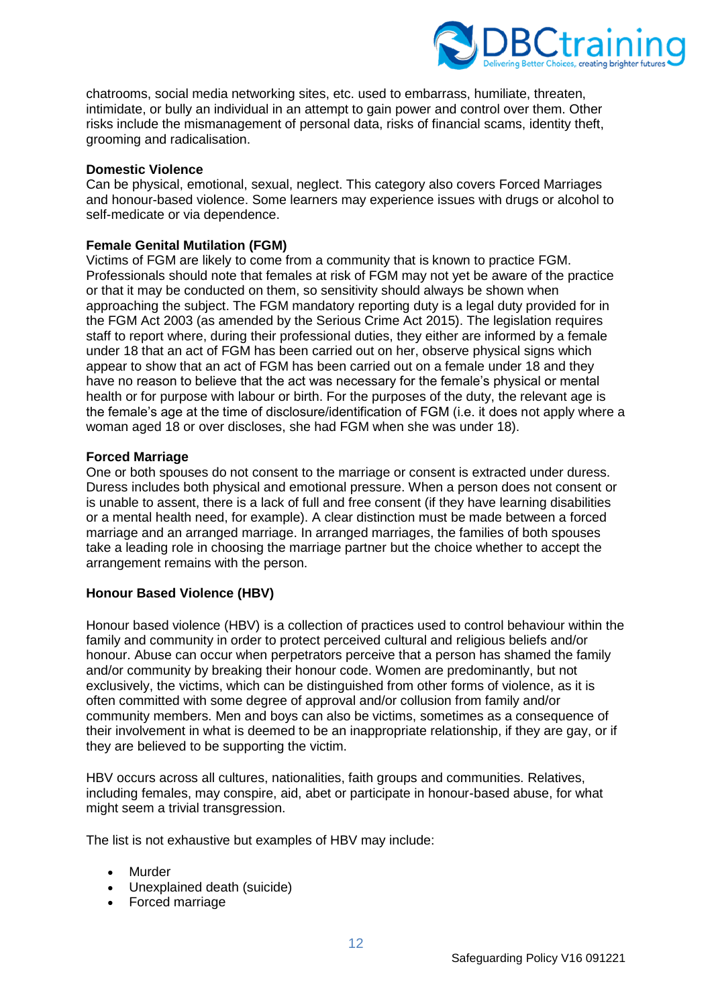

chatrooms, social media networking sites, etc. used to embarrass, humiliate, threaten, intimidate, or bully an individual in an attempt to gain power and control over them. Other risks include the mismanagement of personal data, risks of financial scams, identity theft, grooming and radicalisation.

#### **Domestic Violence**

Can be physical, emotional, sexual, neglect. This category also covers Forced Marriages and honour-based violence. Some learners may experience issues with drugs or alcohol to self-medicate or via dependence.

### **Female Genital Mutilation (FGM)**

Victims of FGM are likely to come from a community that is known to practice FGM. Professionals should note that females at risk of FGM may not yet be aware of the practice or that it may be conducted on them, so sensitivity should always be shown when approaching the subject. The FGM mandatory reporting duty is a legal duty provided for in the FGM Act 2003 (as amended by the Serious Crime Act 2015). The legislation requires staff to report where, during their professional duties, they either are informed by a female under 18 that an act of FGM has been carried out on her, observe physical signs which appear to show that an act of FGM has been carried out on a female under 18 and they have no reason to believe that the act was necessary for the female's physical or mental health or for purpose with labour or birth. For the purposes of the duty, the relevant age is the female's age at the time of disclosure/identification of FGM (i.e. it does not apply where a woman aged 18 or over discloses, she had FGM when she was under 18).

#### **Forced Marriage**

One or both spouses do not consent to the marriage or consent is extracted under duress. Duress includes both physical and emotional pressure. When a person does not consent or is unable to assent, there is a lack of full and free consent (if they have learning disabilities or a mental health need, for example). A clear distinction must be made between a forced marriage and an arranged marriage. In arranged marriages, the families of both spouses take a leading role in choosing the marriage partner but the choice whether to accept the arrangement remains with the person.

## **Honour Based Violence (HBV)**

Honour based violence (HBV) is a collection of practices used to control behaviour within the family and community in order to protect perceived cultural and religious beliefs and/or honour. Abuse can occur when perpetrators perceive that a person has shamed the family and/or community by breaking their honour code. Women are predominantly, but not exclusively, the victims, which can be distinguished from other forms of violence, as it is often committed with some degree of approval and/or collusion from family and/or community members. Men and boys can also be victims, sometimes as a consequence of their involvement in what is deemed to be an inappropriate relationship, if they are gay, or if they are believed to be supporting the victim.

HBV occurs across all cultures, nationalities, faith groups and communities. Relatives, including females, may conspire, aid, abet or participate in honour-based abuse, for what might seem a trivial transgression.

The list is not exhaustive but examples of HBV may include:

- Murder
- Unexplained death (suicide)
- Forced marriage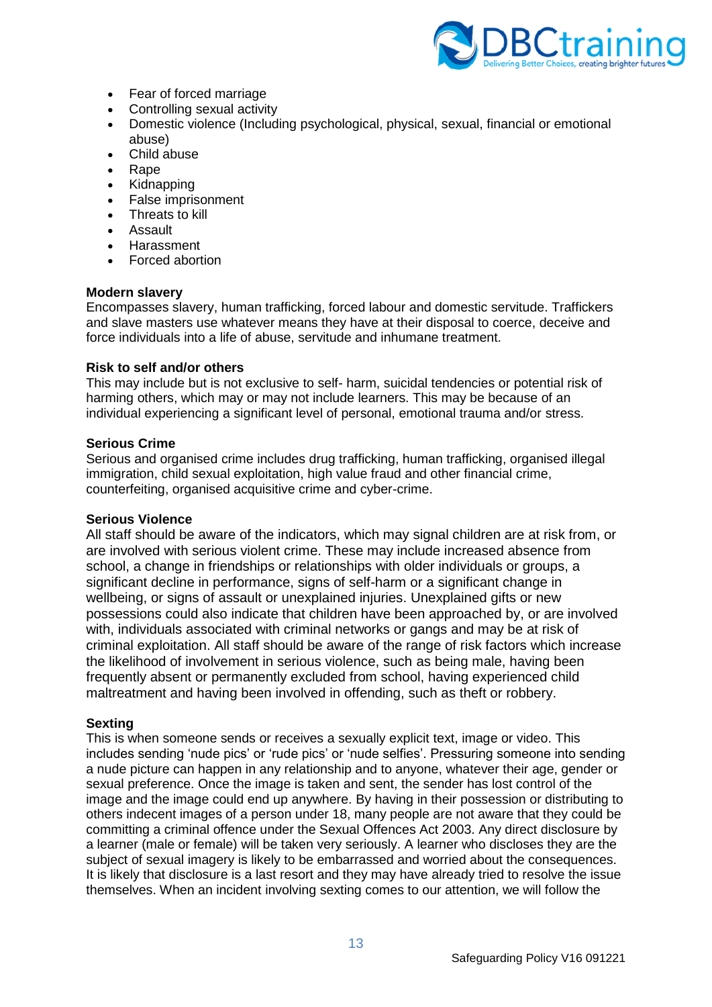

- Fear of forced marriage
- Controlling sexual activity
- Domestic violence (Including psychological, physical, sexual, financial or emotional abuse)
- Child abuse
- Rape
- Kidnapping
- False imprisonment
- Threats to kill
- Assault
- Harassment
- Forced abortion

#### **Modern slavery**

Encompasses slavery, human trafficking, forced labour and domestic servitude. Traffickers and slave masters use whatever means they have at their disposal to coerce, deceive and force individuals into a life of abuse, servitude and inhumane treatment.

#### **Risk to self and/or others**

This may include but is not exclusive to self- harm, suicidal tendencies or potential risk of harming others, which may or may not include learners. This may be because of an individual experiencing a significant level of personal, emotional trauma and/or stress.

#### **Serious Crime**

Serious and organised crime includes drug trafficking, human trafficking, organised illegal immigration, child sexual exploitation, high value fraud and other financial crime, counterfeiting, organised acquisitive crime and cyber-crime.

#### **Serious Violence**

All staff should be aware of the indicators, which may signal children are at risk from, or are involved with serious violent crime. These may include increased absence from school, a change in friendships or relationships with older individuals or groups, a significant decline in performance, signs of self-harm or a significant change in wellbeing, or signs of assault or unexplained injuries. Unexplained gifts or new possessions could also indicate that children have been approached by, or are involved with, individuals associated with criminal networks or gangs and may be at risk of criminal exploitation. All staff should be aware of the range of risk factors which increase the likelihood of involvement in serious violence, such as being male, having been frequently absent or permanently excluded from school, having experienced child maltreatment and having been involved in offending, such as theft or robbery.

#### **Sexting**

This is when someone sends or receives a sexually explicit text, image or video. This includes sending 'nude pics' or 'rude pics' or 'nude selfies'. Pressuring someone into sending a nude picture can happen in any relationship and to anyone, whatever their age, gender or sexual preference. Once the image is taken and sent, the sender has lost control of the image and the image could end up anywhere. By having in their possession or distributing to others indecent images of a person under 18, many people are not aware that they could be committing a criminal offence under the Sexual Offences Act 2003. Any direct disclosure by a learner (male or female) will be taken very seriously. A learner who discloses they are the subject of sexual imagery is likely to be embarrassed and worried about the consequences. It is likely that disclosure is a last resort and they may have already tried to resolve the issue themselves. When an incident involving sexting comes to our attention, we will follow the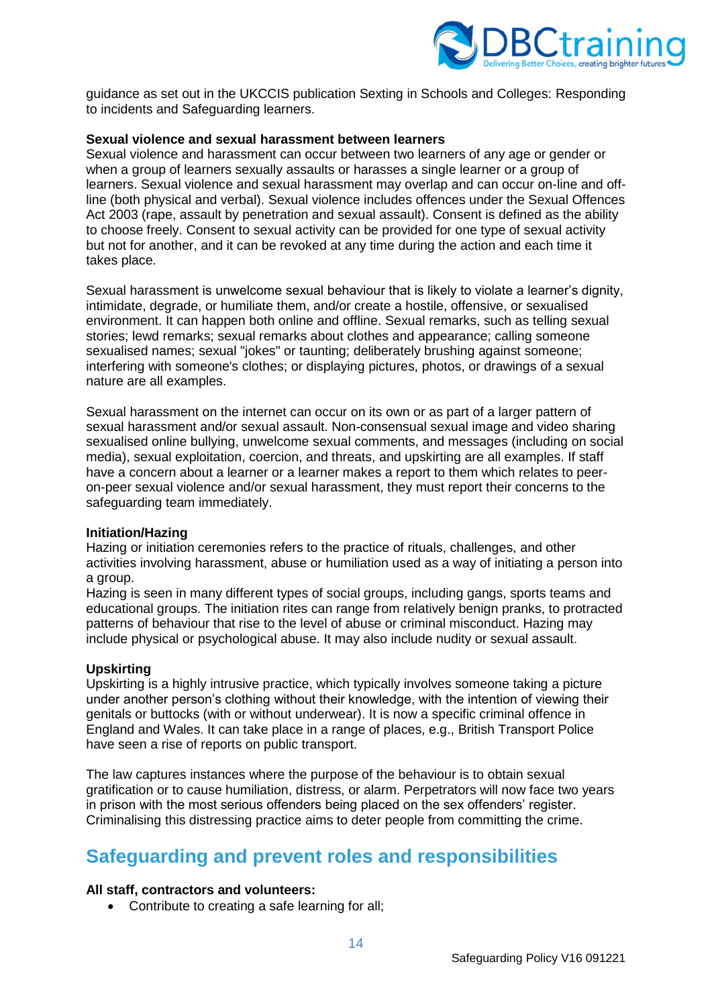

guidance as set out in the UKCCIS publication Sexting in Schools and Colleges: Responding to incidents and Safeguarding learners.

#### **Sexual violence and sexual harassment between learners**

Sexual violence and harassment can occur between two learners of any age or gender or when a group of learners sexually assaults or harasses a single learner or a group of learners. Sexual violence and sexual harassment may overlap and can occur on-line and offline (both physical and verbal). Sexual violence includes offences under the Sexual Offences Act 2003 (rape, assault by penetration and sexual assault). Consent is defined as the ability to choose freely. Consent to sexual activity can be provided for one type of sexual activity but not for another, and it can be revoked at any time during the action and each time it takes place.

Sexual harassment is unwelcome sexual behaviour that is likely to violate a learner's dignity, intimidate, degrade, or humiliate them, and/or create a hostile, offensive, or sexualised environment. It can happen both online and offline. Sexual remarks, such as telling sexual stories; lewd remarks; sexual remarks about clothes and appearance; calling someone sexualised names; sexual "jokes" or taunting; deliberately brushing against someone; interfering with someone's clothes; or displaying pictures, photos, or drawings of a sexual nature are all examples.

Sexual harassment on the internet can occur on its own or as part of a larger pattern of sexual harassment and/or sexual assault. Non-consensual sexual image and video sharing sexualised online bullying, unwelcome sexual comments, and messages (including on social media), sexual exploitation, coercion, and threats, and upskirting are all examples. If staff have a concern about a learner or a learner makes a report to them which relates to peeron-peer sexual violence and/or sexual harassment, they must report their concerns to the safeguarding team immediately.

#### **Initiation/Hazing**

Hazing or initiation ceremonies refers to the practice of rituals, challenges, and other activities involving harassment, abuse or humiliation used as a way of initiating a person into a group.

Hazing is seen in many different types of social groups, including gangs, sports teams and educational groups. The initiation rites can range from relatively benign pranks, to protracted patterns of behaviour that rise to the level of abuse or criminal misconduct. Hazing may include physical or psychological abuse. It may also include nudity or sexual assault.

#### **Upskirting**

Upskirting is a highly intrusive practice, which typically involves someone taking a picture under another person's clothing without their knowledge, with the intention of viewing their genitals or buttocks (with or without underwear). It is now a specific criminal offence in England and Wales. It can take place in a range of places, e.g., British Transport Police have seen a rise of reports on public transport.

The law captures instances where the purpose of the behaviour is to obtain sexual gratification or to cause humiliation, distress, or alarm. Perpetrators will now face two years in prison with the most serious offenders being placed on the sex offenders' register. Criminalising this distressing practice aims to deter people from committing the crime.

# <span id="page-13-0"></span>**Safeguarding and prevent roles and responsibilities**

#### **All staff, contractors and volunteers:**

• Contribute to creating a safe learning for all;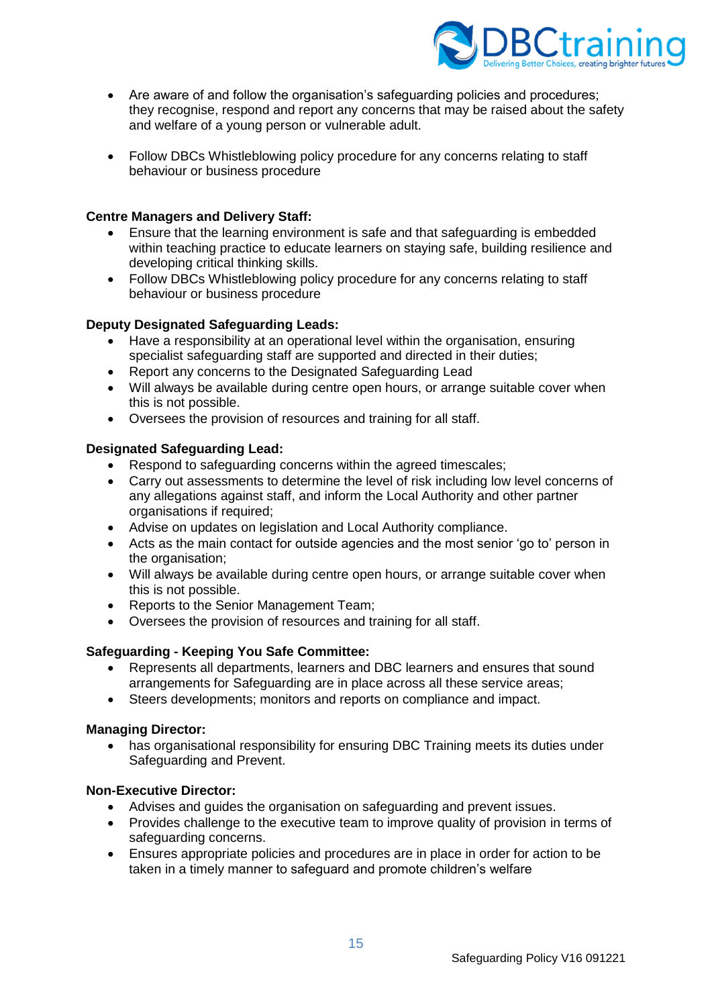

- Are aware of and follow the organisation's safeguarding policies and procedures; they recognise, respond and report any concerns that may be raised about the safety and welfare of a young person or vulnerable adult.
- Follow DBCs Whistleblowing policy procedure for any concerns relating to staff behaviour or business procedure

#### **Centre Managers and Delivery Staff:**

- Ensure that the learning environment is safe and that safeguarding is embedded within teaching practice to educate learners on staying safe, building resilience and developing critical thinking skills.
- Follow DBCs Whistleblowing policy procedure for any concerns relating to staff behaviour or business procedure

#### **Deputy Designated Safeguarding Leads:**

- Have a responsibility at an operational level within the organisation, ensuring specialist safeguarding staff are supported and directed in their duties;
- Report any concerns to the Designated Safeguarding Lead
- Will always be available during centre open hours, or arrange suitable cover when this is not possible.
- Oversees the provision of resources and training for all staff.

#### **Designated Safeguarding Lead:**

- Respond to safeguarding concerns within the agreed timescales;
- Carry out assessments to determine the level of risk including low level concerns of any allegations against staff, and inform the Local Authority and other partner organisations if required;
- Advise on updates on legislation and Local Authority compliance.
- Acts as the main contact for outside agencies and the most senior 'go to' person in the organisation;
- Will always be available during centre open hours, or arrange suitable cover when this is not possible.
- Reports to the Senior Management Team;
- Oversees the provision of resources and training for all staff.

#### **Safeguarding - Keeping You Safe Committee:**

- Represents all departments, learners and DBC learners and ensures that sound arrangements for Safeguarding are in place across all these service areas;
- Steers developments; monitors and reports on compliance and impact.

#### **Managing Director:**

• has organisational responsibility for ensuring DBC Training meets its duties under Safeguarding and Prevent.

## **Non-Executive Director:**

- Advises and guides the organisation on safeguarding and prevent issues.
- Provides challenge to the executive team to improve quality of provision in terms of safeguarding concerns.
- Ensures appropriate policies and procedures are in place in order for action to be taken in a timely manner to safeguard and promote children's welfare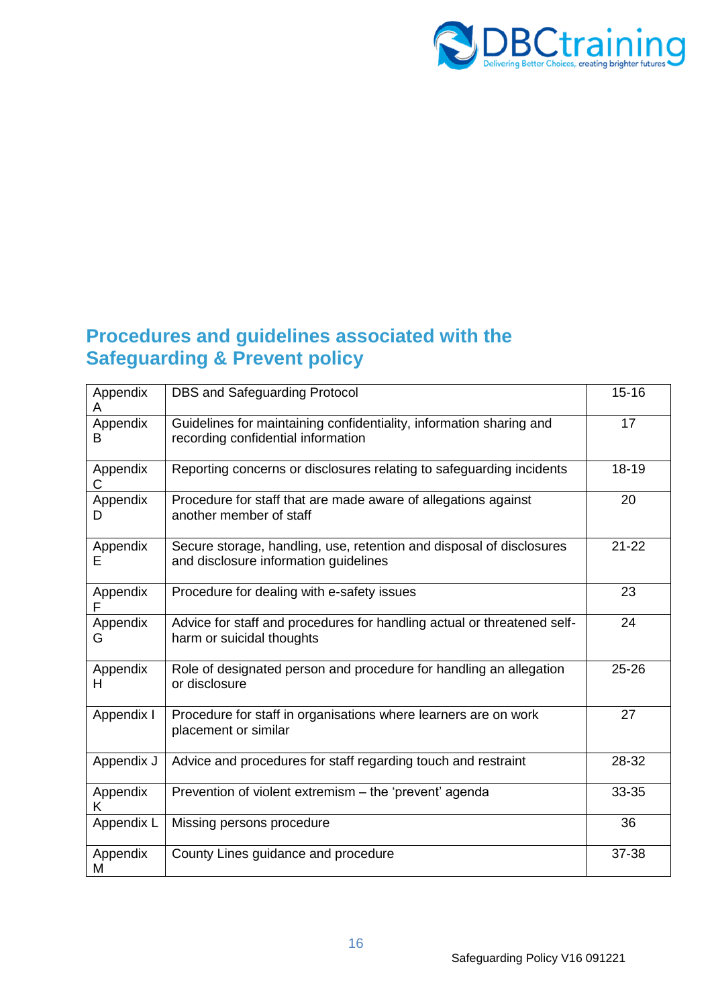

# <span id="page-15-0"></span>**Procedures and guidelines associated with the Safeguarding & Prevent policy**

| Appendix<br>A  | <b>DBS and Safeguarding Protocol</b>                                                                          | $15 - 16$ |
|----------------|---------------------------------------------------------------------------------------------------------------|-----------|
| Appendix<br>B  | Guidelines for maintaining confidentiality, information sharing and<br>recording confidential information     | 17        |
| Appendix<br>C  | Reporting concerns or disclosures relating to safeguarding incidents                                          | 18-19     |
| Appendix<br>D  | Procedure for staff that are made aware of allegations against<br>another member of staff                     | 20        |
| Appendix<br>F. | Secure storage, handling, use, retention and disposal of disclosures<br>and disclosure information guidelines | $21 - 22$ |
| Appendix       | Procedure for dealing with e-safety issues                                                                    | 23        |
| Appendix<br>G  | Advice for staff and procedures for handling actual or threatened self-<br>harm or suicidal thoughts          | 24        |
| Appendix<br>н  | Role of designated person and procedure for handling an allegation<br>or disclosure                           | 25-26     |
| Appendix I     | Procedure for staff in organisations where learners are on work<br>placement or similar                       | 27        |
| Appendix J     | Advice and procedures for staff regarding touch and restraint                                                 | 28-32     |
| Appendix<br>K  | Prevention of violent extremism - the 'prevent' agenda                                                        | 33-35     |
| Appendix L     | Missing persons procedure                                                                                     | 36        |
| Appendix<br>M  | County Lines guidance and procedure                                                                           | 37-38     |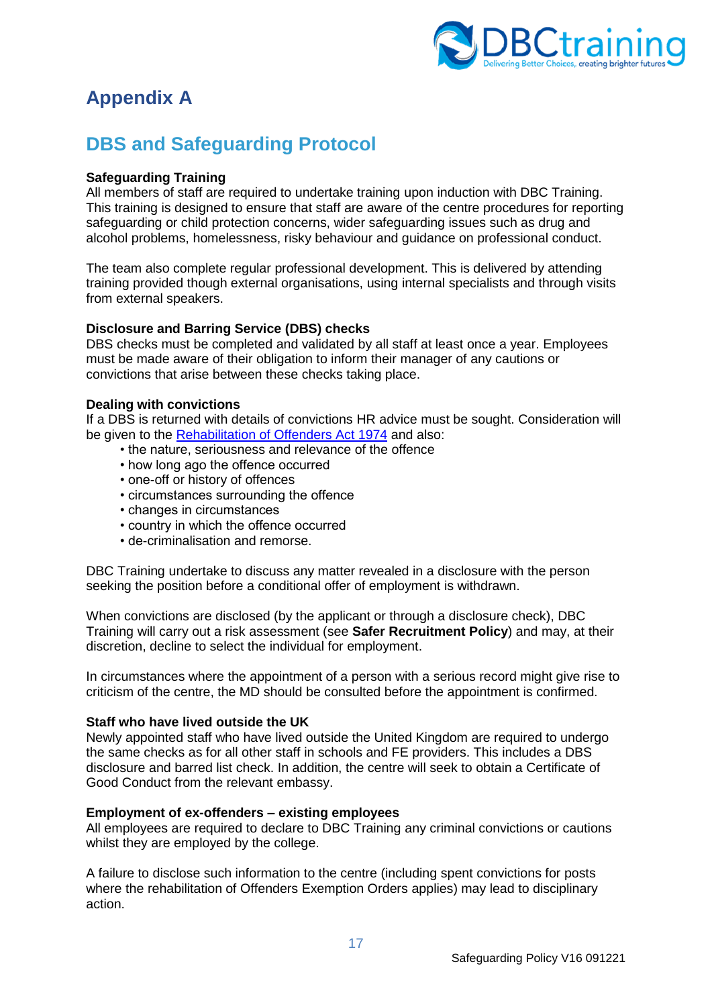

# <span id="page-16-0"></span>**Appendix A**

# <span id="page-16-1"></span>**DBS and Safeguarding Protocol**

## **Safeguarding Training**

All members of staff are required to undertake training upon induction with DBC Training. This training is designed to ensure that staff are aware of the centre procedures for reporting safeguarding or child protection concerns, wider safeguarding issues such as drug and alcohol problems, homelessness, risky behaviour and guidance on professional conduct.

The team also complete regular professional development. This is delivered by attending training provided though external organisations, using internal specialists and through visits from external speakers.

## **Disclosure and Barring Service (DBS) checks**

DBS checks must be completed and validated by all staff at least once a year. Employees must be made aware of their obligation to inform their manager of any cautions or convictions that arise between these checks taking place.

## **Dealing with convictions**

If a DBS is returned with details of convictions HR advice must be sought. Consideration will be given to the [Rehabilitation of Offenders Act](https://www.legislation.gov.uk/ukpga/1974/53) 1974 and also:

- the nature, seriousness and relevance of the offence
- how long ago the offence occurred
- one-off or history of offences
- circumstances surrounding the offence
- changes in circumstances
- country in which the offence occurred
- de-criminalisation and remorse.

DBC Training undertake to discuss any matter revealed in a disclosure with the person seeking the position before a conditional offer of employment is withdrawn.

When convictions are disclosed (by the applicant or through a disclosure check), DBC Training will carry out a risk assessment (see **Safer Recruitment Policy**) and may, at their discretion, decline to select the individual for employment.

In circumstances where the appointment of a person with a serious record might give rise to criticism of the centre, the MD should be consulted before the appointment is confirmed.

## **Staff who have lived outside the UK**

Newly appointed staff who have lived outside the United Kingdom are required to undergo the same checks as for all other staff in schools and FE providers. This includes a DBS disclosure and barred list check. In addition, the centre will seek to obtain a Certificate of Good Conduct from the relevant embassy.

#### **Employment of ex-offenders – existing employees**

All employees are required to declare to DBC Training any criminal convictions or cautions whilst they are employed by the college.

A failure to disclose such information to the centre (including spent convictions for posts where the rehabilitation of Offenders Exemption Orders applies) may lead to disciplinary action.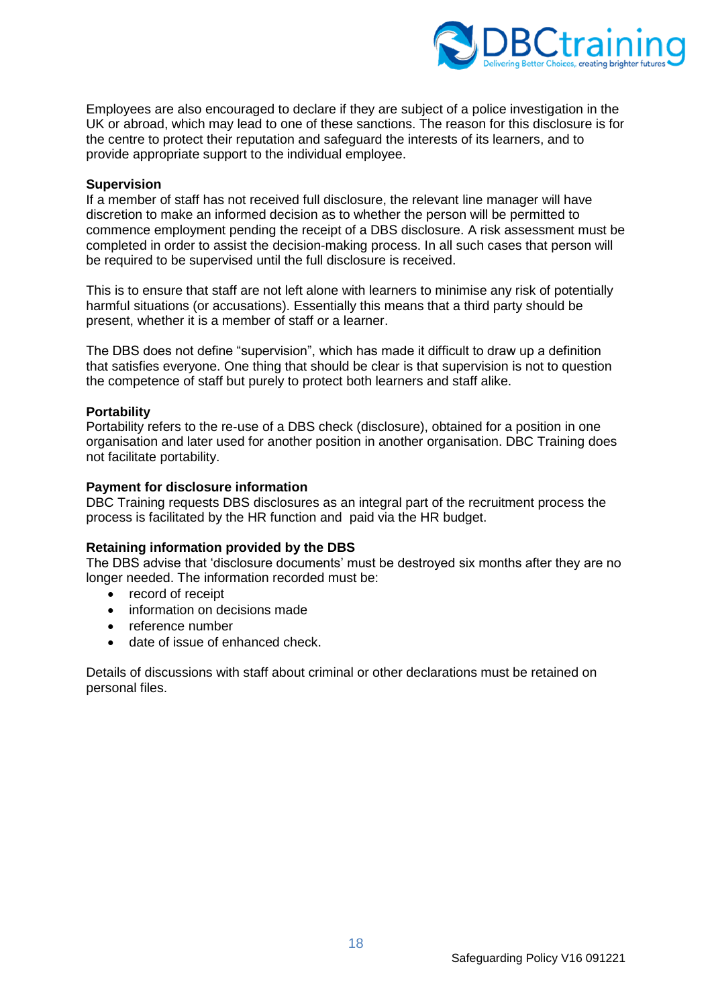

Employees are also encouraged to declare if they are subject of a police investigation in the UK or abroad, which may lead to one of these sanctions. The reason for this disclosure is for the centre to protect their reputation and safeguard the interests of its learners, and to provide appropriate support to the individual employee.

#### **Supervision**

If a member of staff has not received full disclosure, the relevant line manager will have discretion to make an informed decision as to whether the person will be permitted to commence employment pending the receipt of a DBS disclosure. A risk assessment must be completed in order to assist the decision-making process. In all such cases that person will be required to be supervised until the full disclosure is received.

This is to ensure that staff are not left alone with learners to minimise any risk of potentially harmful situations (or accusations). Essentially this means that a third party should be present, whether it is a member of staff or a learner.

The DBS does not define "supervision", which has made it difficult to draw up a definition that satisfies everyone. One thing that should be clear is that supervision is not to question the competence of staff but purely to protect both learners and staff alike.

#### **Portability**

Portability refers to the re-use of a DBS check (disclosure), obtained for a position in one organisation and later used for another position in another organisation. DBC Training does not facilitate portability.

#### **Payment for disclosure information**

DBC Training requests DBS disclosures as an integral part of the recruitment process the process is facilitated by the HR function and paid via the HR budget.

#### **Retaining information provided by the DBS**

The DBS advise that 'disclosure documents' must be destroyed six months after they are no longer needed. The information recorded must be:

- record of receipt
- information on decisions made
- reference number
- date of issue of enhanced check.

Details of discussions with staff about criminal or other declarations must be retained on personal files.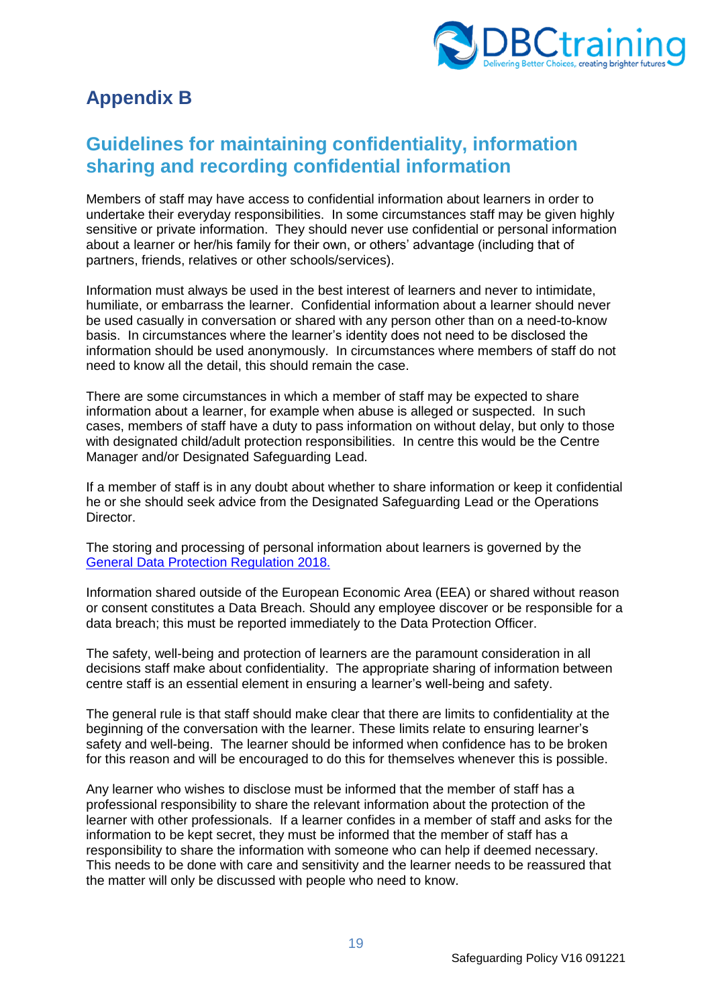

# <span id="page-18-0"></span>**Appendix B**

# <span id="page-18-1"></span>**Guidelines for maintaining confidentiality, information sharing and recording confidential information**

Members of staff may have access to confidential information about learners in order to undertake their everyday responsibilities. In some circumstances staff may be given highly sensitive or private information. They should never use confidential or personal information about a learner or her/his family for their own, or others' advantage (including that of partners, friends, relatives or other schools/services).

Information must always be used in the best interest of learners and never to intimidate, humiliate, or embarrass the learner. Confidential information about a learner should never be used casually in conversation or shared with any person other than on a need-to-know basis. In circumstances where the learner's identity does not need to be disclosed the information should be used anonymously. In circumstances where members of staff do not need to know all the detail, this should remain the case.

There are some circumstances in which a member of staff may be expected to share information about a learner, for example when abuse is alleged or suspected. In such cases, members of staff have a duty to pass information on without delay, but only to those with designated child/adult protection responsibilities. In centre this would be the Centre Manager and/or Designated Safeguarding Lead.

If a member of staff is in any doubt about whether to share information or keep it confidential he or she should seek advice from the Designated Safeguarding Lead or the Operations Director.

The storing and processing of personal information about learners is governed by the [General Data Protection Regulation 2018.](https://www.gov.uk/data-protection)

Information shared outside of the European Economic Area (EEA) or shared without reason or consent constitutes a Data Breach. Should any employee discover or be responsible for a data breach; this must be reported immediately to the Data Protection Officer.

The safety, well-being and protection of learners are the paramount consideration in all decisions staff make about confidentiality. The appropriate sharing of information between centre staff is an essential element in ensuring a learner's well-being and safety.

The general rule is that staff should make clear that there are limits to confidentiality at the beginning of the conversation with the learner. These limits relate to ensuring learner's safety and well-being. The learner should be informed when confidence has to be broken for this reason and will be encouraged to do this for themselves whenever this is possible.

Any learner who wishes to disclose must be informed that the member of staff has a professional responsibility to share the relevant information about the protection of the learner with other professionals. If a learner confides in a member of staff and asks for the information to be kept secret, they must be informed that the member of staff has a responsibility to share the information with someone who can help if deemed necessary. This needs to be done with care and sensitivity and the learner needs to be reassured that the matter will only be discussed with people who need to know.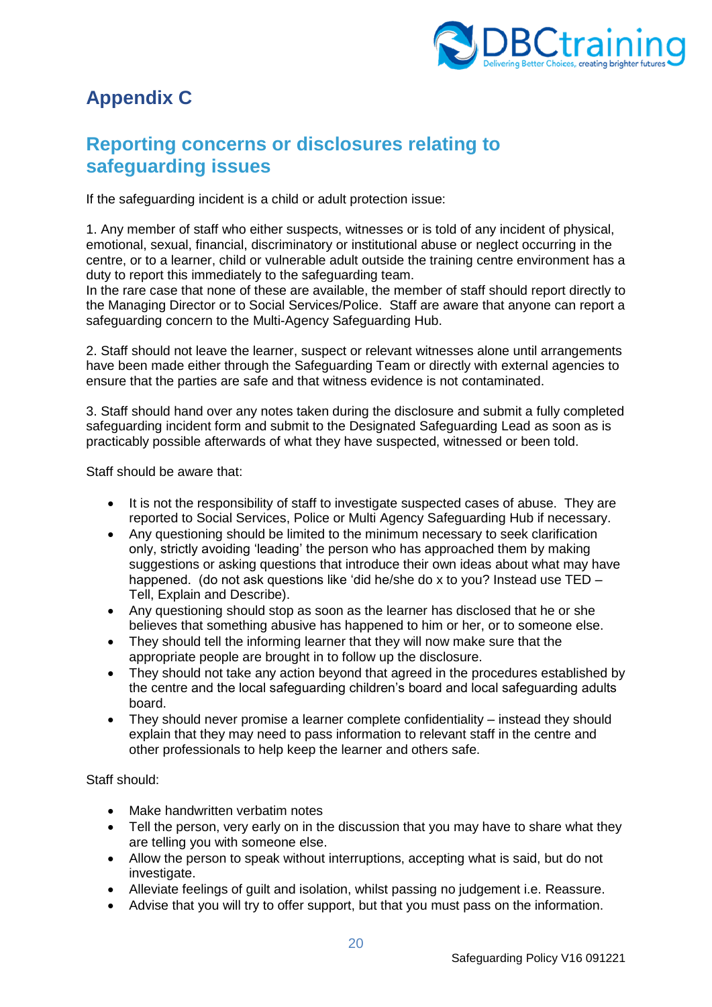

# <span id="page-19-0"></span>**Appendix C**

# <span id="page-19-1"></span>**Reporting concerns or disclosures relating to safeguarding issues**

If the safeguarding incident is a child or adult protection issue:

1. Any member of staff who either suspects, witnesses or is told of any incident of physical, emotional, sexual, financial, discriminatory or institutional abuse or neglect occurring in the centre, or to a learner, child or vulnerable adult outside the training centre environment has a duty to report this immediately to the safeguarding team.

In the rare case that none of these are available, the member of staff should report directly to the Managing Director or to Social Services/Police. Staff are aware that anyone can report a safeguarding concern to the Multi-Agency Safeguarding Hub.

2. Staff should not leave the learner, suspect or relevant witnesses alone until arrangements have been made either through the Safeguarding Team or directly with external agencies to ensure that the parties are safe and that witness evidence is not contaminated.

3. Staff should hand over any notes taken during the disclosure and submit a fully completed safeguarding incident form and submit to the Designated Safeguarding Lead as soon as is practicably possible afterwards of what they have suspected, witnessed or been told.

Staff should be aware that:

- It is not the responsibility of staff to investigate suspected cases of abuse. They are reported to Social Services, Police or Multi Agency Safeguarding Hub if necessary.
- Any questioning should be limited to the minimum necessary to seek clarification only, strictly avoiding 'leading' the person who has approached them by making suggestions or asking questions that introduce their own ideas about what may have happened. (do not ask questions like 'did he/she do x to you? Instead use TED – Tell, Explain and Describe).
- Any questioning should stop as soon as the learner has disclosed that he or she believes that something abusive has happened to him or her, or to someone else.
- They should tell the informing learner that they will now make sure that the appropriate people are brought in to follow up the disclosure.
- They should not take any action beyond that agreed in the procedures established by the centre and the local safeguarding children's board and local safeguarding adults board.
- They should never promise a learner complete confidentiality instead they should explain that they may need to pass information to relevant staff in the centre and other professionals to help keep the learner and others safe.

Staff should:

- Make handwritten verbatim notes
- Tell the person, very early on in the discussion that you may have to share what they are telling you with someone else.
- Allow the person to speak without interruptions, accepting what is said, but do not investigate.
- Alleviate feelings of guilt and isolation, whilst passing no judgement i.e. Reassure.
- Advise that you will try to offer support, but that you must pass on the information.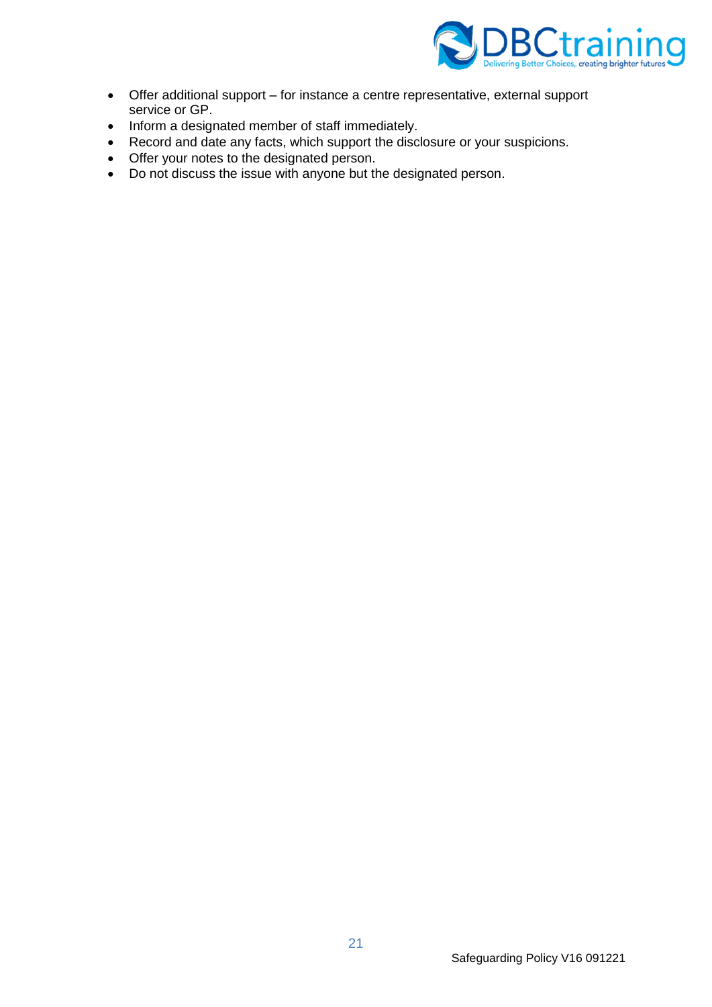

- Offer additional support for instance a centre representative, external support service or GP.
- Inform a designated member of staff immediately.
- Record and date any facts, which support the disclosure or your suspicions.
- Offer your notes to the designated person.
- Do not discuss the issue with anyone but the designated person.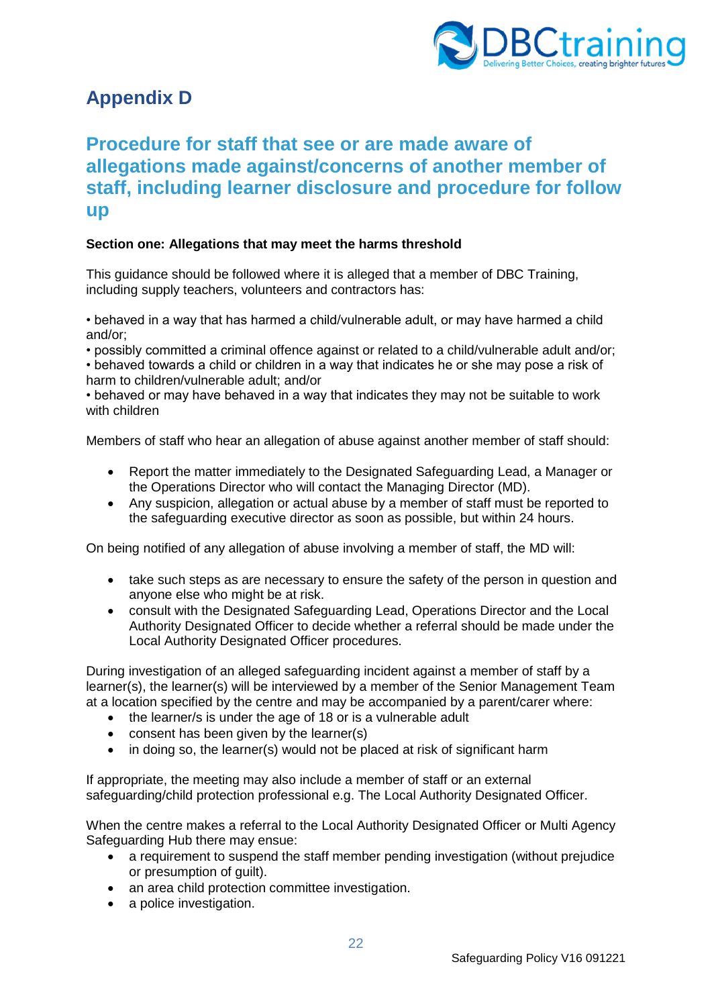

# <span id="page-21-0"></span>**Appendix D**

# <span id="page-21-1"></span>**Procedure for staff that see or are made aware of allegations made against/concerns of another member of staff, including learner disclosure and procedure for follow up**

# **Section one: Allegations that may meet the harms threshold**

This guidance should be followed where it is alleged that a member of DBC Training, including supply teachers, volunteers and contractors has:

• behaved in a way that has harmed a child/vulnerable adult, or may have harmed a child and/or;

• possibly committed a criminal offence against or related to a child/vulnerable adult and/or;

• behaved towards a child or children in a way that indicates he or she may pose a risk of harm to children/vulnerable adult; and/or

• behaved or may have behaved in a way that indicates they may not be suitable to work with children

Members of staff who hear an allegation of abuse against another member of staff should:

- Report the matter immediately to the Designated Safeguarding Lead, a Manager or the Operations Director who will contact the Managing Director (MD).
- Any suspicion, allegation or actual abuse by a member of staff must be reported to the safeguarding executive director as soon as possible, but within 24 hours.

On being notified of any allegation of abuse involving a member of staff, the MD will:

- take such steps as are necessary to ensure the safety of the person in question and anyone else who might be at risk.
- consult with the Designated Safeguarding Lead, Operations Director and the Local Authority Designated Officer to decide whether a referral should be made under the Local Authority Designated Officer procedures.

During investigation of an alleged safeguarding incident against a member of staff by a learner(s), the learner(s) will be interviewed by a member of the Senior Management Team at a location specified by the centre and may be accompanied by a parent/carer where:

- the learner/s is under the age of 18 or is a vulnerable adult
- consent has been given by the learner(s)
- in doing so, the learner(s) would not be placed at risk of significant harm

If appropriate, the meeting may also include a member of staff or an external safeguarding/child protection professional e.g. The Local Authority Designated Officer.

When the centre makes a referral to the Local Authority Designated Officer or Multi Agency Safeguarding Hub there may ensue:

- a requirement to suspend the staff member pending investigation (without prejudice or presumption of guilt).
- an area child protection committee investigation.
- a police investigation.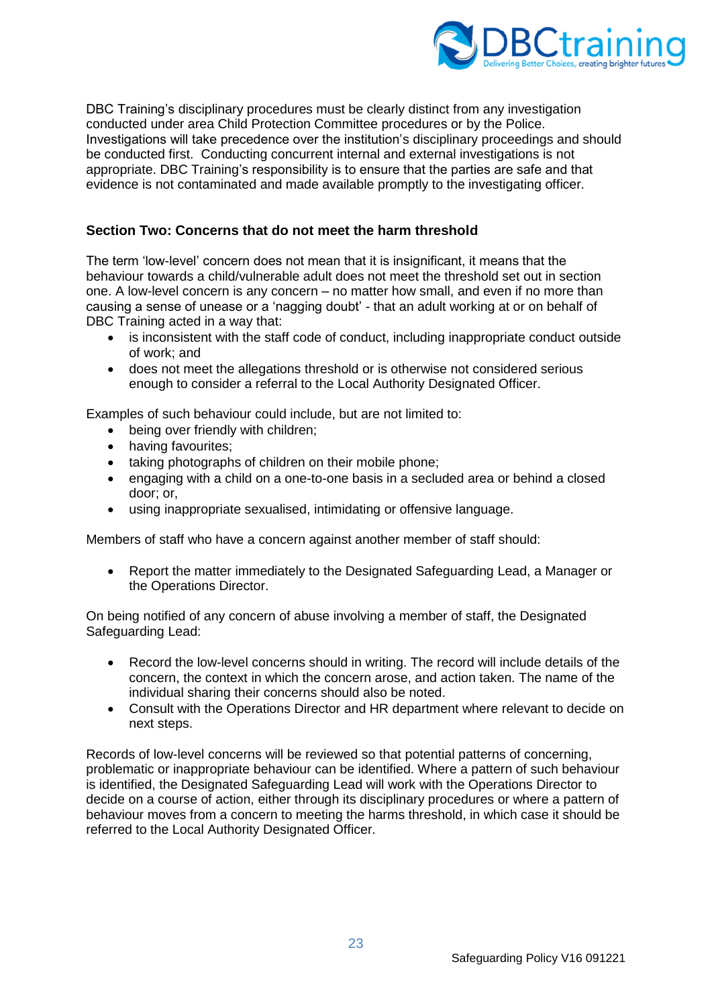

DBC Training's disciplinary procedures must be clearly distinct from any investigation conducted under area Child Protection Committee procedures or by the Police. Investigations will take precedence over the institution's disciplinary proceedings and should be conducted first. Conducting concurrent internal and external investigations is not appropriate. DBC Training's responsibility is to ensure that the parties are safe and that evidence is not contaminated and made available promptly to the investigating officer.

## **Section Two: Concerns that do not meet the harm threshold**

The term 'low-level' concern does not mean that it is insignificant, it means that the behaviour towards a child/vulnerable adult does not meet the threshold set out in section one. A low-level concern is any concern – no matter how small, and even if no more than causing a sense of unease or a 'nagging doubt' - that an adult working at or on behalf of DBC Training acted in a way that:

- is inconsistent with the staff code of conduct, including inappropriate conduct outside of work; and
- does not meet the allegations threshold or is otherwise not considered serious enough to consider a referral to the Local Authority Designated Officer.

Examples of such behaviour could include, but are not limited to:

- being over friendly with children;
- having favourites;
- taking photographs of children on their mobile phone;
- engaging with a child on a one-to-one basis in a secluded area or behind a closed door; or,
- using inappropriate sexualised, intimidating or offensive language.

Members of staff who have a concern against another member of staff should:

• Report the matter immediately to the Designated Safeguarding Lead, a Manager or the Operations Director.

On being notified of any concern of abuse involving a member of staff, the Designated Safeguarding Lead:

- Record the low-level concerns should in writing. The record will include details of the concern, the context in which the concern arose, and action taken. The name of the individual sharing their concerns should also be noted.
- Consult with the Operations Director and HR department where relevant to decide on next steps.

Records of low-level concerns will be reviewed so that potential patterns of concerning, problematic or inappropriate behaviour can be identified. Where a pattern of such behaviour is identified, the Designated Safeguarding Lead will work with the Operations Director to decide on a course of action, either through its disciplinary procedures or where a pattern of behaviour moves from a concern to meeting the harms threshold, in which case it should be referred to the Local Authority Designated Officer.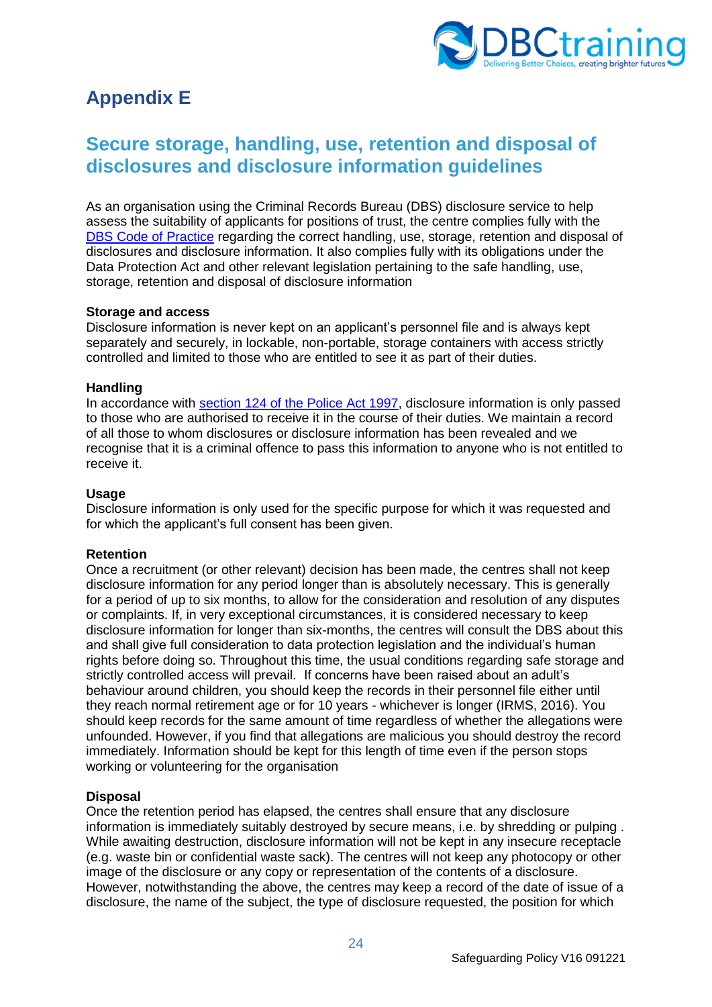

# <span id="page-23-0"></span>**Appendix E**

# <span id="page-23-1"></span>**Secure storage, handling, use, retention and disposal of disclosures and disclosure information guidelines**

As an organisation using the Criminal Records Bureau (DBS) disclosure service to help assess the suitability of applicants for positions of trust, the centre complies fully with the [DBS Code of Practice](https://www.gov.uk/government/publications/dbs-code-of-practice) regarding the correct handling, use, storage, retention and disposal of disclosures and disclosure information. It also complies fully with its obligations under the Data Protection Act and other relevant legislation pertaining to the safe handling, use, storage, retention and disposal of disclosure information

#### **Storage and access**

Disclosure information is never kept on an applicant's personnel file and is always kept separately and securely, in lockable, non-portable, storage containers with access strictly controlled and limited to those who are entitled to see it as part of their duties.

### **Handling**

In accordance with [section 124 of the Police Act 1997,](https://www.legislation.gov.uk/ukpga/1997/50/section/124/2009-03-02) disclosure information is only passed to those who are authorised to receive it in the course of their duties. We maintain a record of all those to whom disclosures or disclosure information has been revealed and we recognise that it is a criminal offence to pass this information to anyone who is not entitled to receive it.

#### **Usage**

Disclosure information is only used for the specific purpose for which it was requested and for which the applicant's full consent has been given.

## **Retention**

Once a recruitment (or other relevant) decision has been made, the centres shall not keep disclosure information for any period longer than is absolutely necessary. This is generally for a period of up to six months, to allow for the consideration and resolution of any disputes or complaints. If, in very exceptional circumstances, it is considered necessary to keep disclosure information for longer than six-months, the centres will consult the DBS about this and shall give full consideration to data protection legislation and the individual's human rights before doing so. Throughout this time, the usual conditions regarding safe storage and strictly controlled access will prevail. If concerns have been raised about an adult's behaviour around children, you should keep the records in their personnel file either until they reach normal retirement age or for 10 years - whichever is longer (IRMS, 2016). You should keep records for the same amount of time regardless of whether the allegations were unfounded. However, if you find that allegations are malicious you should destroy the record immediately. Information should be kept for this length of time even if the person stops working or volunteering for the organisation

## **Disposal**

Once the retention period has elapsed, the centres shall ensure that any disclosure information is immediately suitably destroyed by secure means, i.e. by shredding or pulping . While awaiting destruction, disclosure information will not be kept in any insecure receptacle (e.g. waste bin or confidential waste sack). The centres will not keep any photocopy or other image of the disclosure or any copy or representation of the contents of a disclosure. However, notwithstanding the above, the centres may keep a record of the date of issue of a disclosure, the name of the subject, the type of disclosure requested, the position for which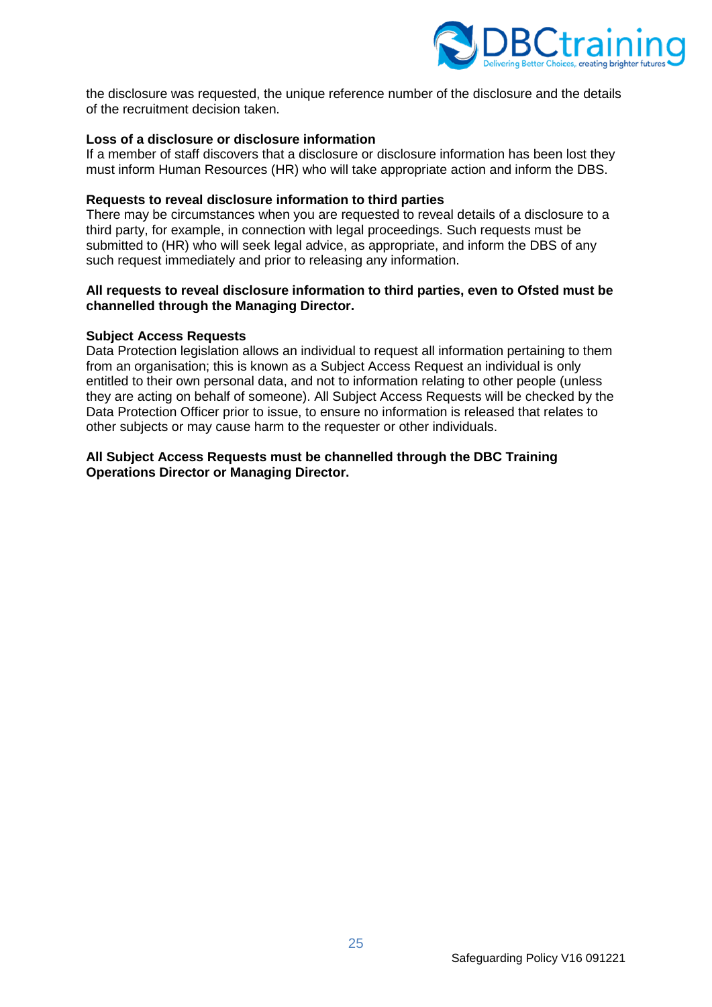

the disclosure was requested, the unique reference number of the disclosure and the details of the recruitment decision taken.

### **Loss of a disclosure or disclosure information**

If a member of staff discovers that a disclosure or disclosure information has been lost they must inform Human Resources (HR) who will take appropriate action and inform the DBS.

#### **Requests to reveal disclosure information to third parties**

There may be circumstances when you are requested to reveal details of a disclosure to a third party, for example, in connection with legal proceedings. Such requests must be submitted to (HR) who will seek legal advice, as appropriate, and inform the DBS of any such request immediately and prior to releasing any information.

#### **All requests to reveal disclosure information to third parties, even to Ofsted must be channelled through the Managing Director.**

#### **Subject Access Requests**

Data Protection legislation allows an individual to request all information pertaining to them from an organisation; this is known as a Subject Access Request an individual is only entitled to their own personal data, and not to information relating to other people (unless they are acting on behalf of someone). All Subject Access Requests will be checked by the Data Protection Officer prior to issue, to ensure no information is released that relates to other subjects or may cause harm to the requester or other individuals.

#### **All Subject Access Requests must be channelled through the DBC Training Operations Director or Managing Director.**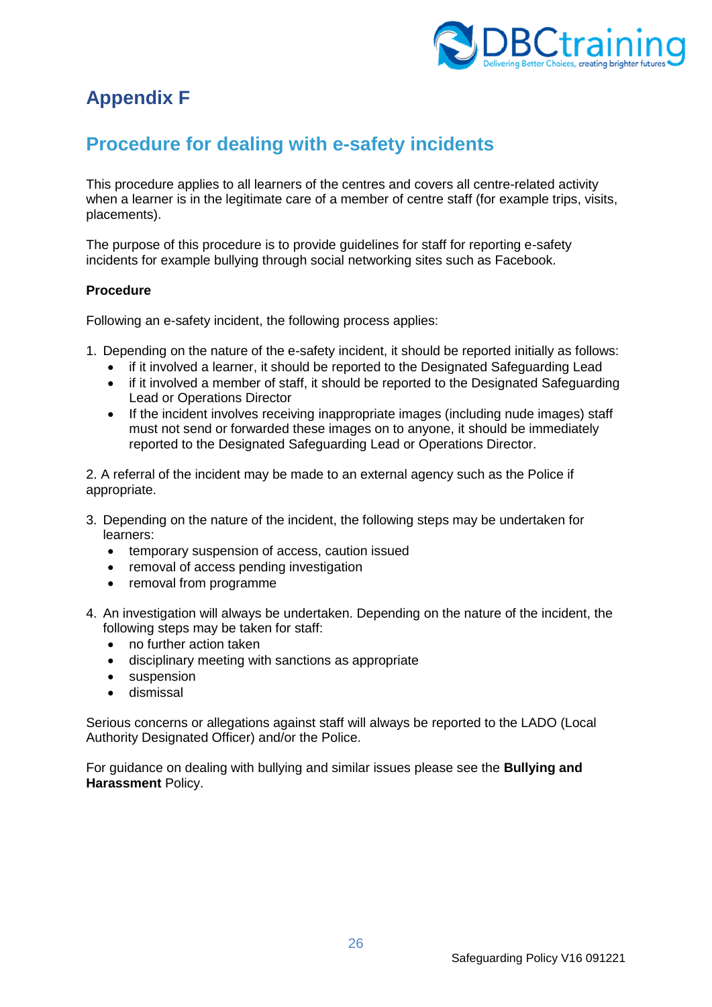

# <span id="page-25-0"></span>**Appendix F**

# <span id="page-25-1"></span>**Procedure for dealing with e-safety incidents**

This procedure applies to all learners of the centres and covers all centre-related activity when a learner is in the legitimate care of a member of centre staff (for example trips, visits, placements).

The purpose of this procedure is to provide guidelines for staff for reporting e-safety incidents for example bullying through social networking sites such as Facebook.

## **Procedure**

Following an e-safety incident, the following process applies:

- 1. Depending on the nature of the e-safety incident, it should be reported initially as follows:
	- if it involved a learner, it should be reported to the Designated Safeguarding Lead
	- if it involved a member of staff, it should be reported to the Designated Safeguarding Lead or Operations Director
	- If the incident involves receiving inappropriate images (including nude images) staff must not send or forwarded these images on to anyone, it should be immediately reported to the Designated Safeguarding Lead or Operations Director.

2. A referral of the incident may be made to an external agency such as the Police if appropriate.

- 3. Depending on the nature of the incident, the following steps may be undertaken for learners:
	- temporary suspension of access, caution issued
	- removal of access pending investigation
	- removal from programme
- 4. An investigation will always be undertaken. Depending on the nature of the incident, the following steps may be taken for staff:
	- no further action taken
	- disciplinary meeting with sanctions as appropriate
	- suspension
	- dismissal

Serious concerns or allegations against staff will always be reported to the LADO (Local Authority Designated Officer) and/or the Police.

For guidance on dealing with bullying and similar issues please see the **Bullying and Harassment** Policy.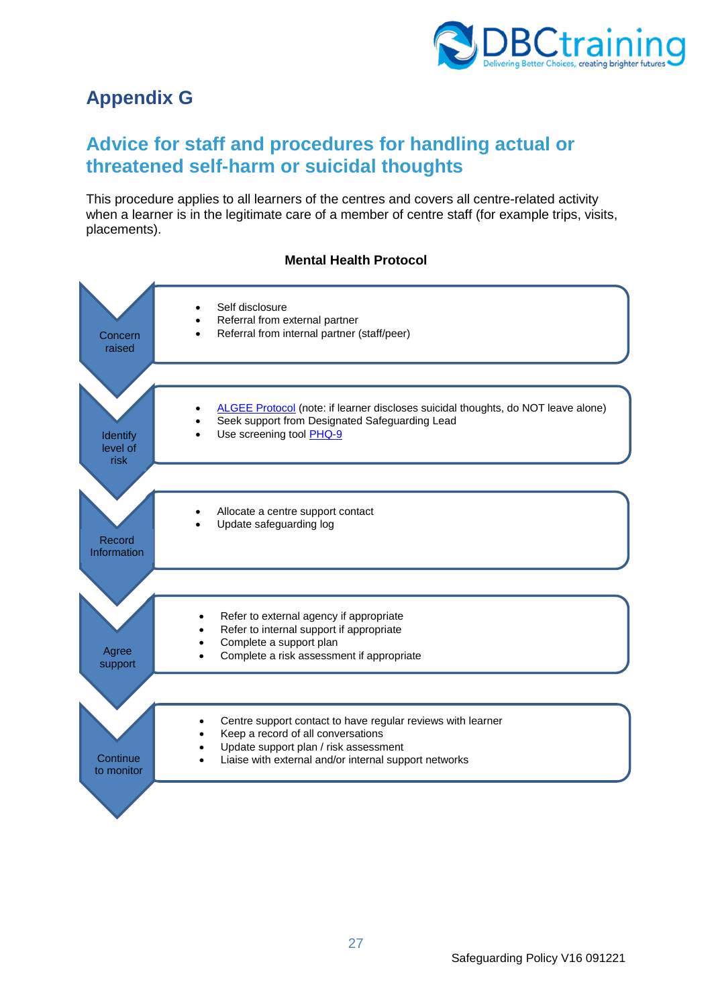

# <span id="page-26-0"></span>**Appendix G**

# <span id="page-26-1"></span>**Advice for staff and procedures for handling actual or threatened self-harm or suicidal thoughts**

This procedure applies to all learners of the centres and covers all centre-related activity when a learner is in the legitimate care of a member of centre staff (for example trips, visits, placements).

## **Mental Health Protocol**

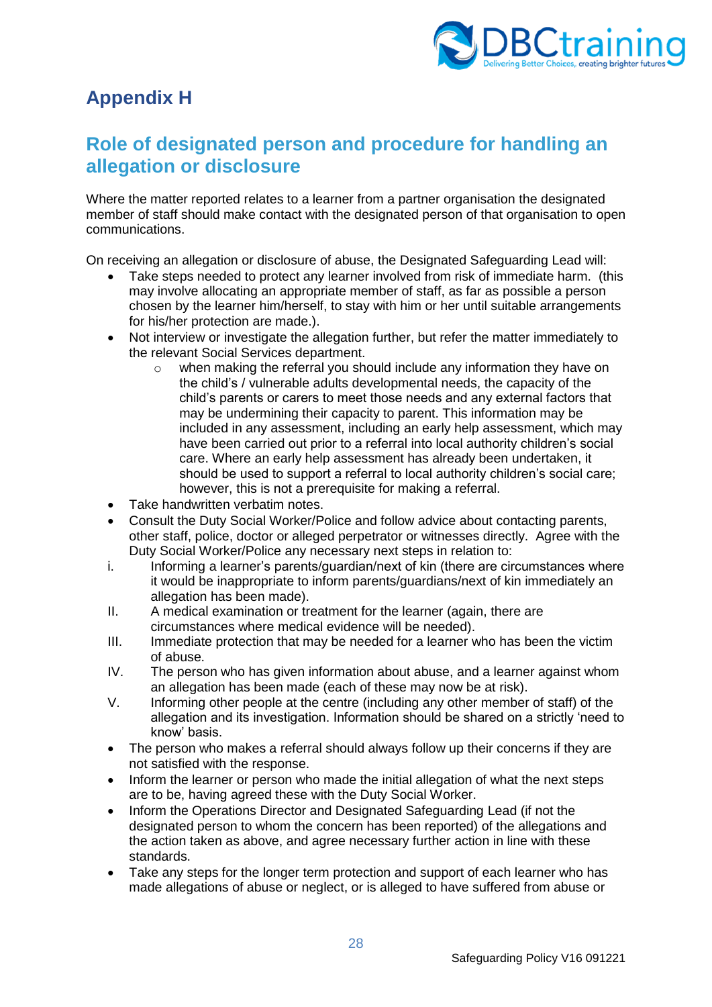

# <span id="page-27-0"></span>**Appendix H**

# <span id="page-27-1"></span>**Role of designated person and procedure for handling an allegation or disclosure**

Where the matter reported relates to a learner from a partner organisation the designated member of staff should make contact with the designated person of that organisation to open communications.

On receiving an allegation or disclosure of abuse, the Designated Safeguarding Lead will:

- Take steps needed to protect any learner involved from risk of immediate harm. (this may involve allocating an appropriate member of staff, as far as possible a person chosen by the learner him/herself, to stay with him or her until suitable arrangements for his/her protection are made.).
- Not interview or investigate the allegation further, but refer the matter immediately to the relevant Social Services department.
	- $\circ$  when making the referral you should include any information they have on the child's / vulnerable adults developmental needs, the capacity of the child's parents or carers to meet those needs and any external factors that may be undermining their capacity to parent. This information may be included in any assessment, including an early help assessment, which may have been carried out prior to a referral into local authority children's social care. Where an early help assessment has already been undertaken, it should be used to support a referral to local authority children's social care; however, this is not a prerequisite for making a referral.
- Take handwritten verbatim notes.
- Consult the Duty Social Worker/Police and follow advice about contacting parents, other staff, police, doctor or alleged perpetrator or witnesses directly. Agree with the Duty Social Worker/Police any necessary next steps in relation to:
- i. Informing a learner's parents/guardian/next of kin (there are circumstances where it would be inappropriate to inform parents/guardians/next of kin immediately an allegation has been made).
- II. A medical examination or treatment for the learner (again, there are circumstances where medical evidence will be needed).
- III. Immediate protection that may be needed for a learner who has been the victim of abuse.
- IV. The person who has given information about abuse, and a learner against whom an allegation has been made (each of these may now be at risk).
- V. Informing other people at the centre (including any other member of staff) of the allegation and its investigation. Information should be shared on a strictly 'need to know' basis.
- The person who makes a referral should always follow up their concerns if they are not satisfied with the response.
- Inform the learner or person who made the initial allegation of what the next steps are to be, having agreed these with the Duty Social Worker.
- Inform the Operations Director and Designated Safeguarding Lead (if not the designated person to whom the concern has been reported) of the allegations and the action taken as above, and agree necessary further action in line with these standards.
- Take any steps for the longer term protection and support of each learner who has made allegations of abuse or neglect, or is alleged to have suffered from abuse or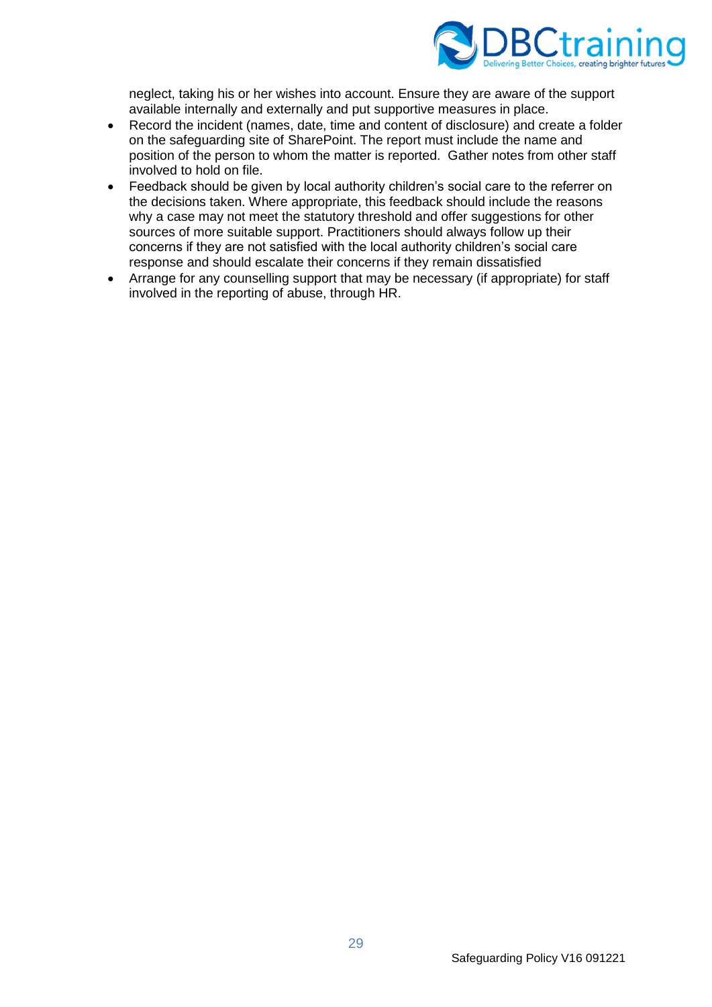

neglect, taking his or her wishes into account. Ensure they are aware of the support available internally and externally and put supportive measures in place.

- Record the incident (names, date, time and content of disclosure) and create a folder on the safeguarding site of SharePoint. The report must include the name and position of the person to whom the matter is reported. Gather notes from other staff involved to hold on file.
- Feedback should be given by local authority children's social care to the referrer on the decisions taken. Where appropriate, this feedback should include the reasons why a case may not meet the statutory threshold and offer suggestions for other sources of more suitable support. Practitioners should always follow up their concerns if they are not satisfied with the local authority children's social care response and should escalate their concerns if they remain dissatisfied
- Arrange for any counselling support that may be necessary (if appropriate) for staff involved in the reporting of abuse, through HR.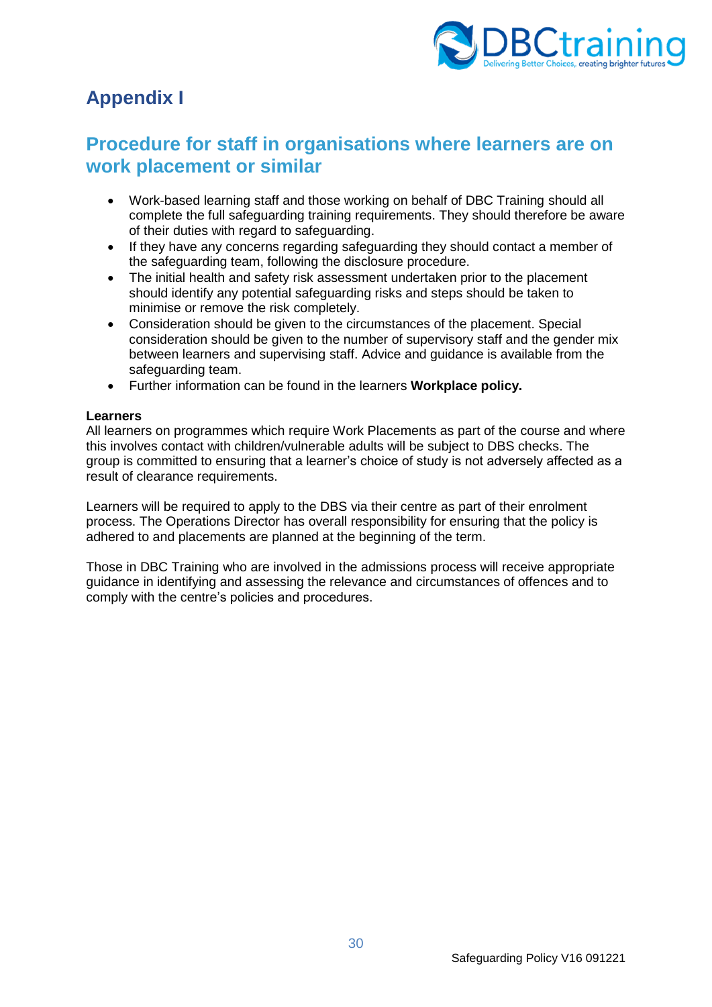

# <span id="page-29-0"></span>**Appendix I**

# <span id="page-29-1"></span>**Procedure for staff in organisations where learners are on work placement or similar**

- Work-based learning staff and those working on behalf of DBC Training should all complete the full safeguarding training requirements. They should therefore be aware of their duties with regard to safeguarding.
- If they have any concerns regarding safeguarding they should contact a member of the safeguarding team, following the disclosure procedure.
- The initial health and safety risk assessment undertaken prior to the placement should identify any potential safeguarding risks and steps should be taken to minimise or remove the risk completely.
- Consideration should be given to the circumstances of the placement. Special consideration should be given to the number of supervisory staff and the gender mix between learners and supervising staff. Advice and guidance is available from the safeguarding team.
- Further information can be found in the learners **Workplace policy.**

#### **Learners**

All learners on programmes which require Work Placements as part of the course and where this involves contact with children/vulnerable adults will be subject to DBS checks. The group is committed to ensuring that a learner's choice of study is not adversely affected as a result of clearance requirements.

Learners will be required to apply to the DBS via their centre as part of their enrolment process. The Operations Director has overall responsibility for ensuring that the policy is adhered to and placements are planned at the beginning of the term.

Those in DBC Training who are involved in the admissions process will receive appropriate guidance in identifying and assessing the relevance and circumstances of offences and to comply with the centre's policies and procedures.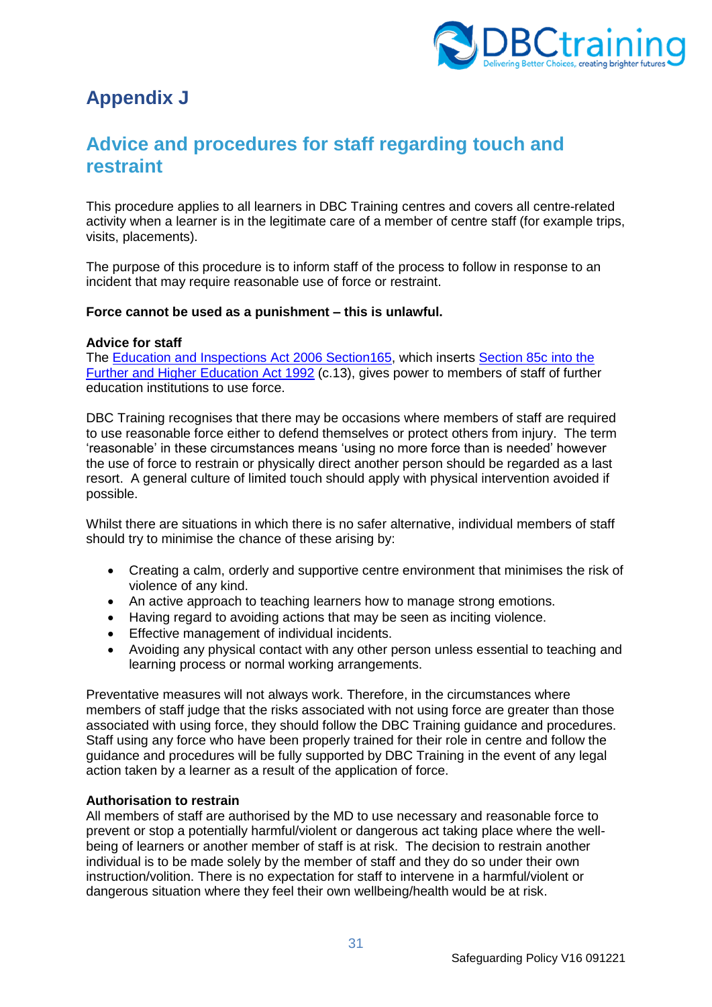

# <span id="page-30-0"></span>**Appendix J**

# <span id="page-30-1"></span>**Advice and procedures for staff regarding touch and restraint**

This procedure applies to all learners in DBC Training centres and covers all centre-related activity when a learner is in the legitimate care of a member of centre staff (for example trips, visits, placements).

The purpose of this procedure is to inform staff of the process to follow in response to an incident that may require reasonable use of force or restraint.

#### **Force cannot be used as a punishment – this is unlawful.**

#### **Advice for staff**

The [Education and Inspections Act 2006 Section165,](https://www.legislation.gov.uk/ukpga/2006/40/section/165) which inserts [Section 85c into the](https://www.legislation.gov.uk/ukpga/1992/13/section/85C/2013-09-01)  [Further and Higher Education Act 1992](https://www.legislation.gov.uk/ukpga/1992/13/section/85C/2013-09-01) (c.13), gives power to members of staff of further education institutions to use force.

DBC Training recognises that there may be occasions where members of staff are required to use reasonable force either to defend themselves or protect others from injury. The term 'reasonable' in these circumstances means 'using no more force than is needed' however the use of force to restrain or physically direct another person should be regarded as a last resort. A general culture of limited touch should apply with physical intervention avoided if possible.

Whilst there are situations in which there is no safer alternative, individual members of staff should try to minimise the chance of these arising by:

- Creating a calm, orderly and supportive centre environment that minimises the risk of violence of any kind.
- An active approach to teaching learners how to manage strong emotions.
- Having regard to avoiding actions that may be seen as inciting violence.
- Effective management of individual incidents.
- Avoiding any physical contact with any other person unless essential to teaching and learning process or normal working arrangements.

Preventative measures will not always work. Therefore, in the circumstances where members of staff judge that the risks associated with not using force are greater than those associated with using force, they should follow the DBC Training guidance and procedures. Staff using any force who have been properly trained for their role in centre and follow the guidance and procedures will be fully supported by DBC Training in the event of any legal action taken by a learner as a result of the application of force.

#### **Authorisation to restrain**

All members of staff are authorised by the MD to use necessary and reasonable force to prevent or stop a potentially harmful/violent or dangerous act taking place where the wellbeing of learners or another member of staff is at risk. The decision to restrain another individual is to be made solely by the member of staff and they do so under their own instruction/volition. There is no expectation for staff to intervene in a harmful/violent or dangerous situation where they feel their own wellbeing/health would be at risk.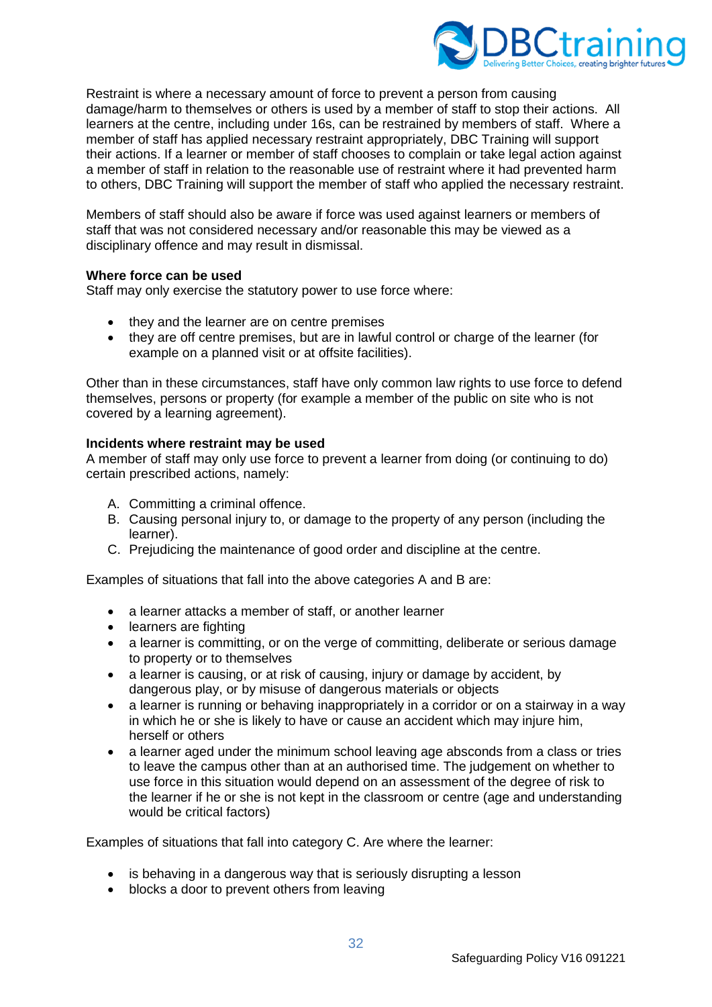

Restraint is where a necessary amount of force to prevent a person from causing damage/harm to themselves or others is used by a member of staff to stop their actions. All learners at the centre, including under 16s, can be restrained by members of staff. Where a member of staff has applied necessary restraint appropriately, DBC Training will support their actions. If a learner or member of staff chooses to complain or take legal action against a member of staff in relation to the reasonable use of restraint where it had prevented harm to others, DBC Training will support the member of staff who applied the necessary restraint.

Members of staff should also be aware if force was used against learners or members of staff that was not considered necessary and/or reasonable this may be viewed as a disciplinary offence and may result in dismissal.

#### **Where force can be used**

Staff may only exercise the statutory power to use force where:

- they and the learner are on centre premises
- they are off centre premises, but are in lawful control or charge of the learner (for example on a planned visit or at offsite facilities).

Other than in these circumstances, staff have only common law rights to use force to defend themselves, persons or property (for example a member of the public on site who is not covered by a learning agreement).

#### **Incidents where restraint may be used**

A member of staff may only use force to prevent a learner from doing (or continuing to do) certain prescribed actions, namely:

- A. Committing a criminal offence.
- B. Causing personal injury to, or damage to the property of any person (including the learner).
- C. Prejudicing the maintenance of good order and discipline at the centre.

Examples of situations that fall into the above categories A and B are:

- a learner attacks a member of staff, or another learner
- learners are fighting
- a learner is committing, or on the verge of committing, deliberate or serious damage to property or to themselves
- a learner is causing, or at risk of causing, injury or damage by accident, by dangerous play, or by misuse of dangerous materials or objects
- a learner is running or behaving inappropriately in a corridor or on a stairway in a way in which he or she is likely to have or cause an accident which may injure him, herself or others
- a learner aged under the minimum school leaving age absconds from a class or tries to leave the campus other than at an authorised time. The judgement on whether to use force in this situation would depend on an assessment of the degree of risk to the learner if he or she is not kept in the classroom or centre (age and understanding would be critical factors)

Examples of situations that fall into category C. Are where the learner:

- is behaving in a dangerous way that is seriously disrupting a lesson
- blocks a door to prevent others from leaving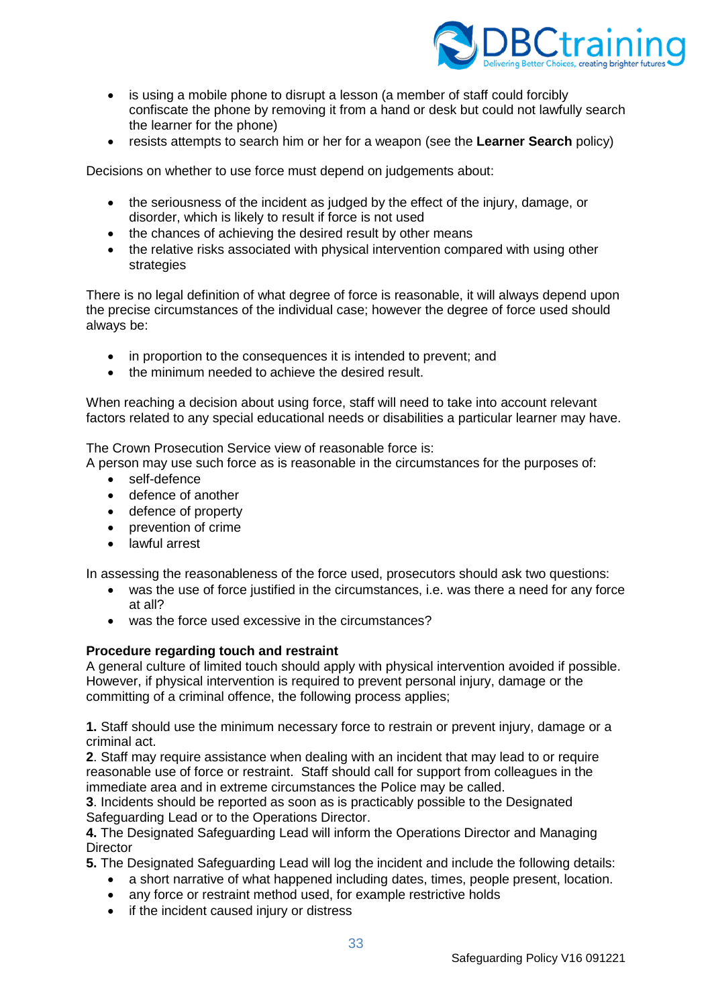

- is using a mobile phone to disrupt a lesson (a member of staff could forcibly confiscate the phone by removing it from a hand or desk but could not lawfully search the learner for the phone)
- resists attempts to search him or her for a weapon (see the **Learner Search** policy)

Decisions on whether to use force must depend on judgements about:

- the seriousness of the incident as judged by the effect of the injury, damage, or disorder, which is likely to result if force is not used
- the chances of achieving the desired result by other means
- the relative risks associated with physical intervention compared with using other strategies

There is no legal definition of what degree of force is reasonable, it will always depend upon the precise circumstances of the individual case; however the degree of force used should always be:

- in proportion to the consequences it is intended to prevent; and
- the minimum needed to achieve the desired result.

When reaching a decision about using force, staff will need to take into account relevant factors related to any special educational needs or disabilities a particular learner may have.

The Crown Prosecution Service view of reasonable force is:

A person may use such force as is reasonable in the circumstances for the purposes of:

- self-defence
- defence of another
- defence of property
- prevention of crime
- lawful arrest

In assessing the reasonableness of the force used, prosecutors should ask two questions:

- was the use of force justified in the circumstances, i.e. was there a need for any force at all?
- was the force used excessive in the circumstances?

## **Procedure regarding touch and restraint**

A general culture of limited touch should apply with physical intervention avoided if possible. However, if physical intervention is required to prevent personal injury, damage or the committing of a criminal offence, the following process applies;

**1.** Staff should use the minimum necessary force to restrain or prevent injury, damage or a criminal act.

**2**. Staff may require assistance when dealing with an incident that may lead to or require reasonable use of force or restraint. Staff should call for support from colleagues in the immediate area and in extreme circumstances the Police may be called.

**3**. Incidents should be reported as soon as is practicably possible to the Designated Safeguarding Lead or to the Operations Director.

**4.** The Designated Safeguarding Lead will inform the Operations Director and Managing **Director** 

**5.** The Designated Safeguarding Lead will log the incident and include the following details:

- a short narrative of what happened including dates, times, people present, location.
- any force or restraint method used, for example restrictive holds
- if the incident caused injury or distress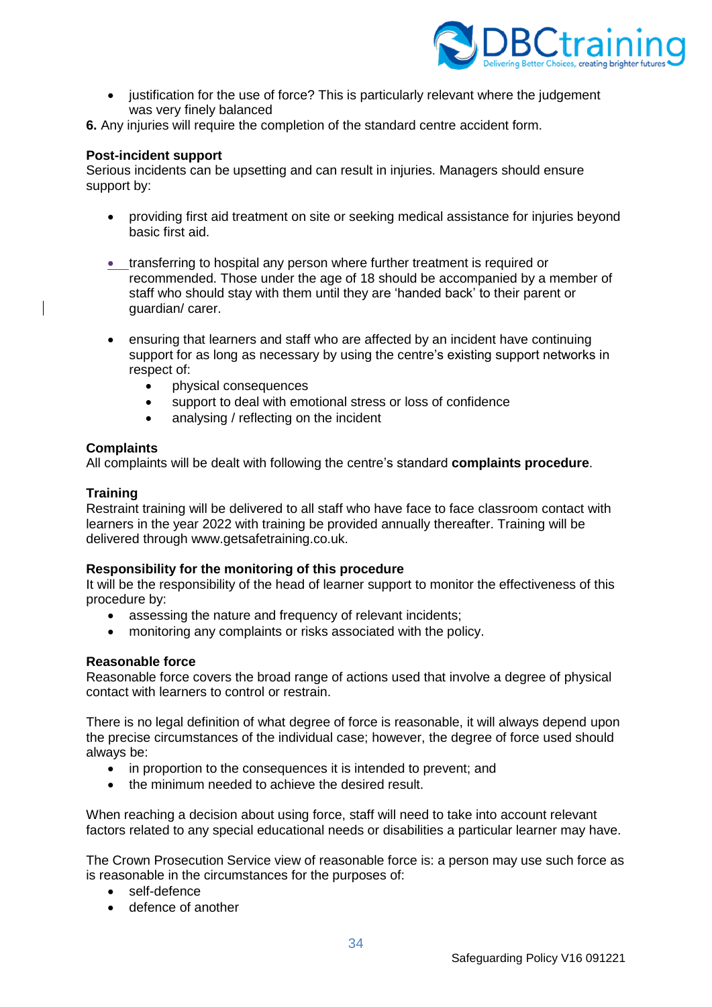

• justification for the use of force? This is particularly relevant where the judgement was very finely balanced

**6.** Any injuries will require the completion of the standard centre accident form.

#### **Post-incident support**

Serious incidents can be upsetting and can result in injuries. Managers should ensure support by:

- providing first aid treatment on site or seeking medical assistance for injuries beyond basic first aid.
- transferring to hospital any person where further treatment is required or recommended. Those under the age of 18 should be accompanied by a member of staff who should stay with them until they are 'handed back' to their parent or guardian/ carer.
- ensuring that learners and staff who are affected by an incident have continuing support for as long as necessary by using the centre's existing support networks in respect of:
	- physical consequences
	- support to deal with emotional stress or loss of confidence
	- analysing / reflecting on the incident

#### **Complaints**

All complaints will be dealt with following the centre's standard **complaints procedure**.

#### **Training**

Restraint training will be delivered to all staff who have face to face classroom contact with learners in the year 2022 with training be provided annually thereafter. Training will be delivered through www.getsafetraining.co.uk.

## **Responsibility for the monitoring of this procedure**

It will be the responsibility of the head of learner support to monitor the effectiveness of this procedure by:

- assessing the nature and frequency of relevant incidents;
- monitoring any complaints or risks associated with the policy.

#### **Reasonable force**

Reasonable force covers the broad range of actions used that involve a degree of physical contact with learners to control or restrain.

There is no legal definition of what degree of force is reasonable, it will always depend upon the precise circumstances of the individual case; however, the degree of force used should always be:

- in proportion to the consequences it is intended to prevent; and
- the minimum needed to achieve the desired result.

When reaching a decision about using force, staff will need to take into account relevant factors related to any special educational needs or disabilities a particular learner may have.

The Crown Prosecution Service view of reasonable force is: a person may use such force as is reasonable in the circumstances for the purposes of:

- self-defence
- defence of another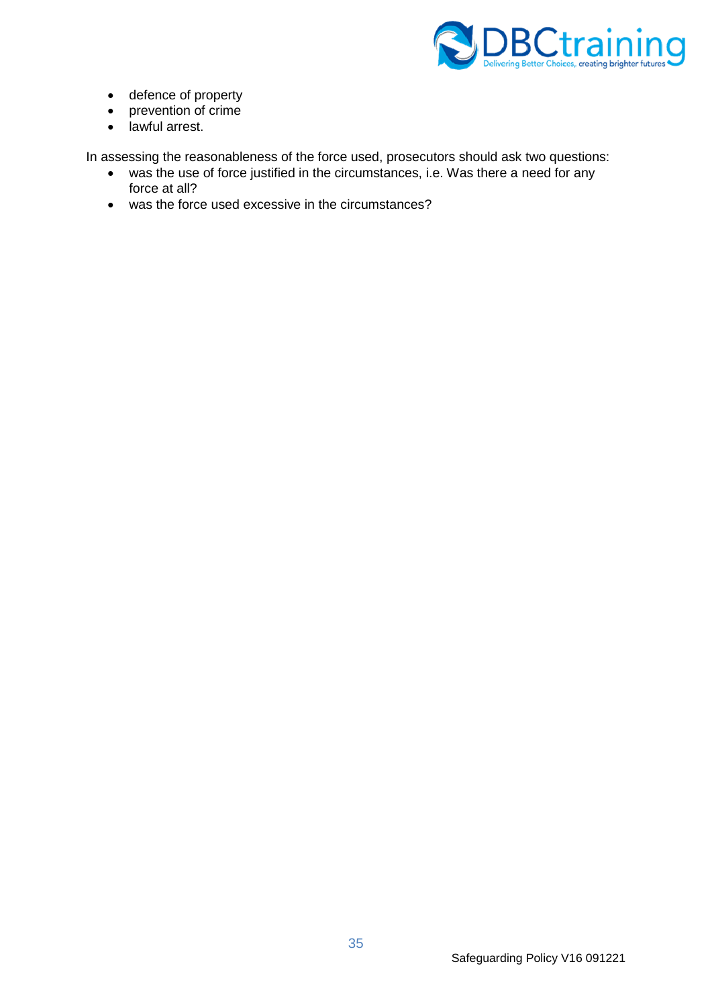

- defence of property
- prevention of crime
- lawful arrest.

In assessing the reasonableness of the force used, prosecutors should ask two questions:

- was the use of force justified in the circumstances, i.e. Was there a need for any force at all?
- was the force used excessive in the circumstances?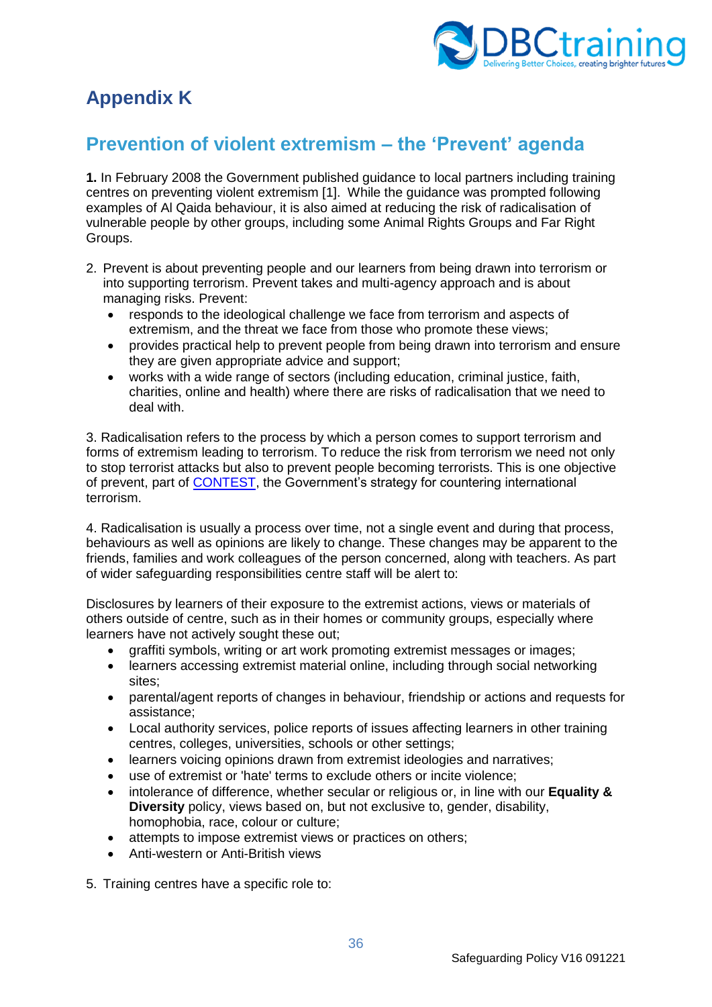

# <span id="page-35-0"></span>**Appendix K**

# <span id="page-35-1"></span>**Prevention of violent extremism – the 'Prevent' agenda**

**1.** In February 2008 the Government published guidance to local partners including training centres on preventing violent extremism [1]. While the guidance was prompted following examples of Al Qaida behaviour, it is also aimed at reducing the risk of radicalisation of vulnerable people by other groups, including some Animal Rights Groups and Far Right Groups.

- 2. Prevent is about preventing people and our learners from being drawn into terrorism or into supporting terrorism. Prevent takes and multi-agency approach and is about managing risks. Prevent:
	- responds to the ideological challenge we face from terrorism and aspects of extremism, and the threat we face from those who promote these views;
	- provides practical help to prevent people from being drawn into terrorism and ensure they are given appropriate advice and support;
	- works with a wide range of sectors (including education, criminal justice, faith, charities, online and health) where there are risks of radicalisation that we need to deal with.

3. Radicalisation refers to the process by which a person comes to support terrorism and forms of extremism leading to terrorism. To reduce the risk from terrorism we need not only to stop terrorist attacks but also to prevent people becoming terrorists. This is one objective of prevent, part of [CONTEST,](https://www.gov.uk/government/publications/counter-terrorism-strategy-contest) the Government's strategy for countering international terrorism.

4. Radicalisation is usually a process over time, not a single event and during that process, behaviours as well as opinions are likely to change. These changes may be apparent to the friends, families and work colleagues of the person concerned, along with teachers. As part of wider safeguarding responsibilities centre staff will be alert to:

Disclosures by learners of their exposure to the extremist actions, views or materials of others outside of centre, such as in their homes or community groups, especially where learners have not actively sought these out;

- graffiti symbols, writing or art work promoting extremist messages or images;
- learners accessing extremist material online, including through social networking sites;
- parental/agent reports of changes in behaviour, friendship or actions and requests for assistance;
- Local authority services, police reports of issues affecting learners in other training centres, colleges, universities, schools or other settings;
- learners voicing opinions drawn from extremist ideologies and narratives;
- use of extremist or 'hate' terms to exclude others or incite violence;
- intolerance of difference, whether secular or religious or, in line with our **Equality & Diversity** policy, views based on, but not exclusive to, gender, disability, homophobia, race, colour or culture;
- attempts to impose extremist views or practices on others;
- Anti-western or Anti-British views

5. Training centres have a specific role to: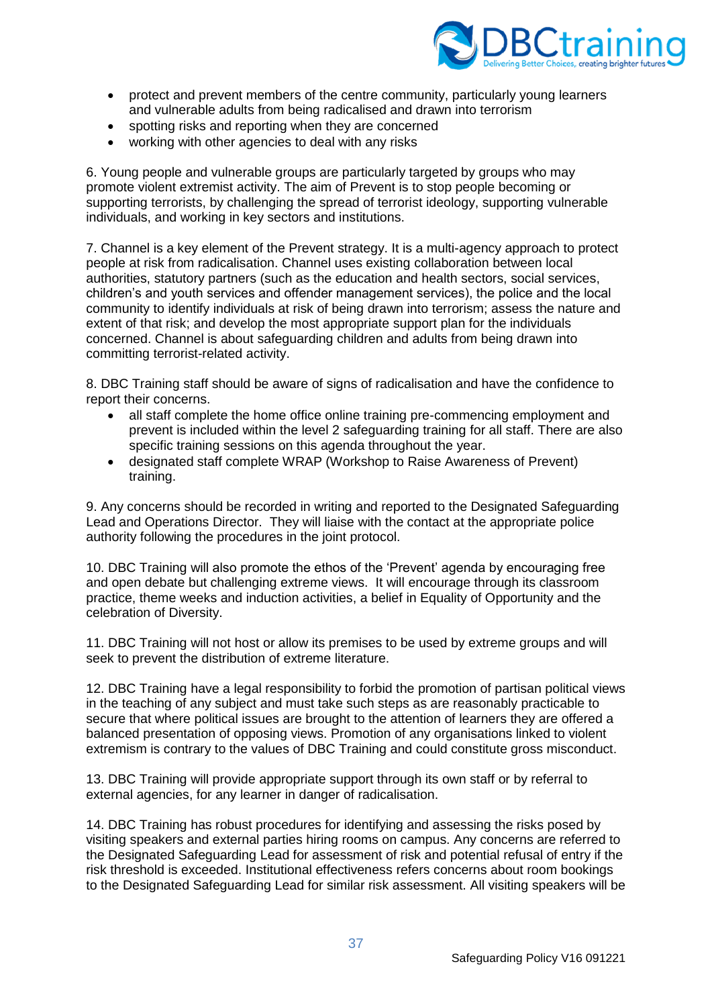

- protect and prevent members of the centre community, particularly young learners and vulnerable adults from being radicalised and drawn into terrorism
- spotting risks and reporting when they are concerned
- working with other agencies to deal with any risks

6. Young people and vulnerable groups are particularly targeted by groups who may promote violent extremist activity. The aim of Prevent is to stop people becoming or supporting terrorists, by challenging the spread of terrorist ideology, supporting vulnerable individuals, and working in key sectors and institutions.

7. Channel is a key element of the Prevent strategy. It is a multi-agency approach to protect people at risk from radicalisation. Channel uses existing collaboration between local authorities, statutory partners (such as the education and health sectors, social services, children's and youth services and offender management services), the police and the local community to identify individuals at risk of being drawn into terrorism; assess the nature and extent of that risk; and develop the most appropriate support plan for the individuals concerned. Channel is about safeguarding children and adults from being drawn into committing terrorist-related activity.

8. DBC Training staff should be aware of signs of radicalisation and have the confidence to report their concerns.

- all staff complete the home office online training pre-commencing employment and prevent is included within the level 2 safeguarding training for all staff. There are also specific training sessions on this agenda throughout the year.
- designated staff complete WRAP (Workshop to Raise Awareness of Prevent) training.

9. Any concerns should be recorded in writing and reported to the Designated Safeguarding Lead and Operations Director. They will liaise with the contact at the appropriate police authority following the procedures in the joint protocol.

10. DBC Training will also promote the ethos of the 'Prevent' agenda by encouraging free and open debate but challenging extreme views. It will encourage through its classroom practice, theme weeks and induction activities, a belief in Equality of Opportunity and the celebration of Diversity.

11. DBC Training will not host or allow its premises to be used by extreme groups and will seek to prevent the distribution of extreme literature.

12. DBC Training have a legal responsibility to forbid the promotion of partisan political views in the teaching of any subject and must take such steps as are reasonably practicable to secure that where political issues are brought to the attention of learners they are offered a balanced presentation of opposing views. Promotion of any organisations linked to violent extremism is contrary to the values of DBC Training and could constitute gross misconduct.

13. DBC Training will provide appropriate support through its own staff or by referral to external agencies, for any learner in danger of radicalisation.

14. DBC Training has robust procedures for identifying and assessing the risks posed by visiting speakers and external parties hiring rooms on campus. Any concerns are referred to the Designated Safeguarding Lead for assessment of risk and potential refusal of entry if the risk threshold is exceeded. Institutional effectiveness refers concerns about room bookings to the Designated Safeguarding Lead for similar risk assessment. All visiting speakers will be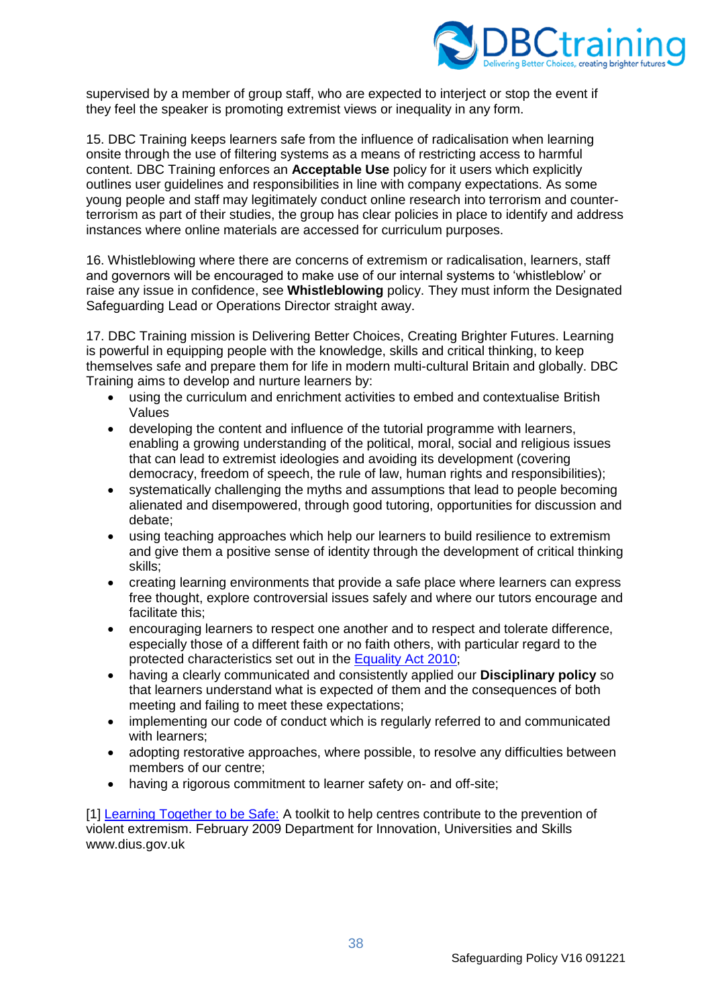

supervised by a member of group staff, who are expected to interject or stop the event if they feel the speaker is promoting extremist views or inequality in any form.

15. DBC Training keeps learners safe from the influence of radicalisation when learning onsite through the use of filtering systems as a means of restricting access to harmful content. DBC Training enforces an **Acceptable Use** policy for it users which explicitly outlines user guidelines and responsibilities in line with company expectations. As some young people and staff may legitimately conduct online research into terrorism and counterterrorism as part of their studies, the group has clear policies in place to identify and address instances where online materials are accessed for curriculum purposes.

16. Whistleblowing where there are concerns of extremism or radicalisation, learners, staff and governors will be encouraged to make use of our internal systems to 'whistleblow' or raise any issue in confidence, see **Whistleblowing** policy. They must inform the Designated Safeguarding Lead or Operations Director straight away.

17. DBC Training mission is Delivering Better Choices, Creating Brighter Futures. Learning is powerful in equipping people with the knowledge, skills and critical thinking, to keep themselves safe and prepare them for life in modern multi-cultural Britain and globally. DBC Training aims to develop and nurture learners by:

- using the curriculum and enrichment activities to embed and contextualise British Values
- developing the content and influence of the tutorial programme with learners, enabling a growing understanding of the political, moral, social and religious issues that can lead to extremist ideologies and avoiding its development (covering democracy, freedom of speech, the rule of law, human rights and responsibilities);
- systematically challenging the myths and assumptions that lead to people becoming alienated and disempowered, through good tutoring, opportunities for discussion and debate;
- using teaching approaches which help our learners to build resilience to extremism and give them a positive sense of identity through the development of critical thinking skills;
- creating learning environments that provide a safe place where learners can express free thought, explore controversial issues safely and where our tutors encourage and facilitate this;
- encouraging learners to respect one another and to respect and tolerate difference, especially those of a different faith or no faith others, with particular regard to the protected characteristics set out in the [Equality Act 2010;](https://www.legislation.gov.uk/ukpga/2010/15/contents)
- having a clearly communicated and consistently applied our **Disciplinary policy** so that learners understand what is expected of them and the consequences of both meeting and failing to meet these expectations;
- implementing our code of conduct which is regularly referred to and communicated with learners;
- adopting restorative approaches, where possible, to resolve any difficulties between members of our centre;
- having a rigorous commitment to learner safety on- and off-site;

[1] Learning [Together to be Safe:](https://lemosandcrane.co.uk/resources/Learning%20together%20to%20be%20safe.pdf) A toolkit to help centres contribute to the prevention of violent extremism. February 2009 Department for Innovation, Universities and Skills www.dius.gov.uk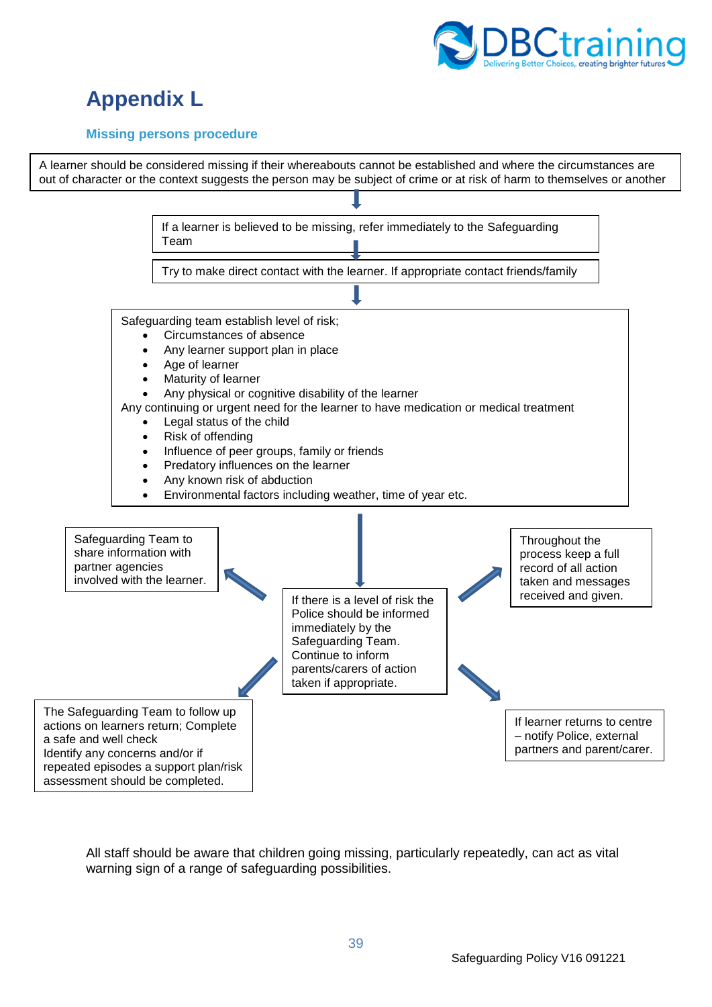

# <span id="page-38-0"></span>**Appendix L**

## <span id="page-38-1"></span>**Missing persons procedure**



All staff should be aware that children going missing, particularly repeatedly, can act as vital warning sign of a range of safeguarding possibilities.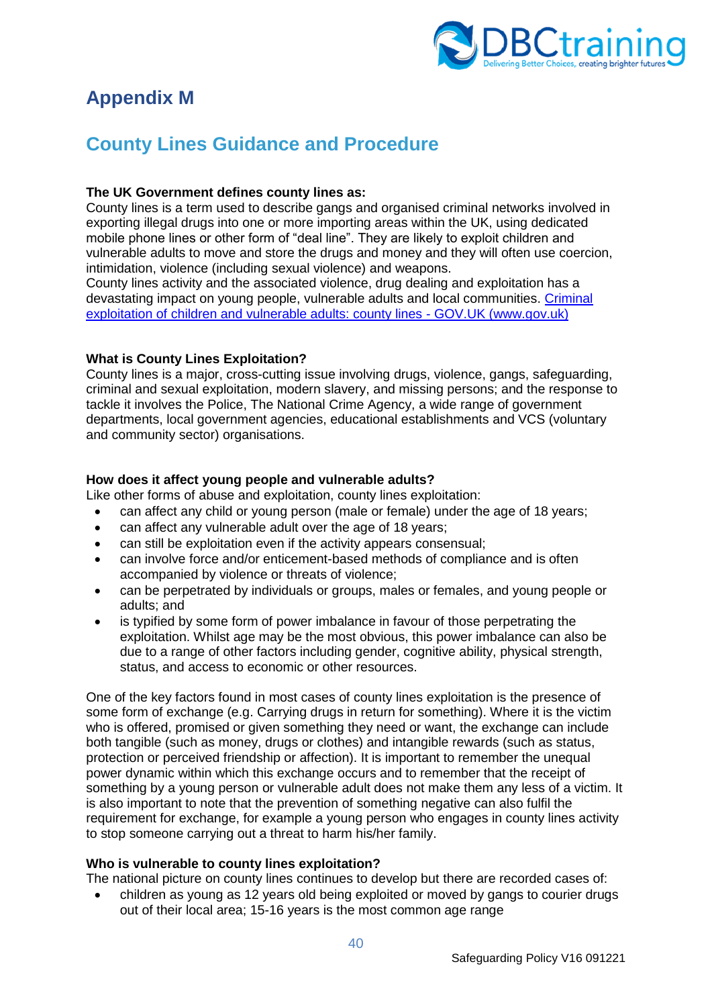

# <span id="page-39-0"></span>**Appendix M**

# <span id="page-39-1"></span>**County Lines Guidance and Procedure**

## **The UK Government defines county lines as:**

County lines is a term used to describe gangs and organised criminal networks involved in exporting illegal drugs into one or more importing areas within the UK, using dedicated mobile phone lines or other form of "deal line". They are likely to exploit children and vulnerable adults to move and store the drugs and money and they will often use coercion, intimidation, violence (including sexual violence) and weapons.

County lines activity and the associated violence, drug dealing and exploitation has a devastating impact on young people, vulnerable adults and local communities. Criminal exploitation of children and vulnerable adults: county lines - GOV.UK (www.gov.uk)

# **What is County Lines Exploitation?**

County lines is a major, cross-cutting issue involving drugs, violence, gangs, safeguarding, criminal and sexual exploitation, modern slavery, and missing persons; and the response to tackle it involves the Police, The National Crime Agency, a wide range of government departments, local government agencies, educational establishments and VCS (voluntary and community sector) organisations.

# **How does it affect young people and vulnerable adults?**

Like other forms of abuse and exploitation, county lines exploitation:

- can affect any child or young person (male or female) under the age of 18 years;
- can affect any vulnerable adult over the age of 18 years;
- can still be exploitation even if the activity appears consensual;
- can involve force and/or enticement-based methods of compliance and is often accompanied by violence or threats of violence;
- can be perpetrated by individuals or groups, males or females, and young people or adults; and
- is typified by some form of power imbalance in favour of those perpetrating the exploitation. Whilst age may be the most obvious, this power imbalance can also be due to a range of other factors including gender, cognitive ability, physical strength, status, and access to economic or other resources.

One of the key factors found in most cases of county lines exploitation is the presence of some form of exchange (e.g. Carrying drugs in return for something). Where it is the victim who is offered, promised or given something they need or want, the exchange can include both tangible (such as money, drugs or clothes) and intangible rewards (such as status, protection or perceived friendship or affection). It is important to remember the unequal power dynamic within which this exchange occurs and to remember that the receipt of something by a young person or vulnerable adult does not make them any less of a victim. It is also important to note that the prevention of something negative can also fulfil the requirement for exchange, for example a young person who engages in county lines activity to stop someone carrying out a threat to harm his/her family.

## **Who is vulnerable to county lines exploitation?**

The national picture on county lines continues to develop but there are recorded cases of:

• children as young as 12 years old being exploited or moved by gangs to courier drugs out of their local area; 15-16 years is the most common age range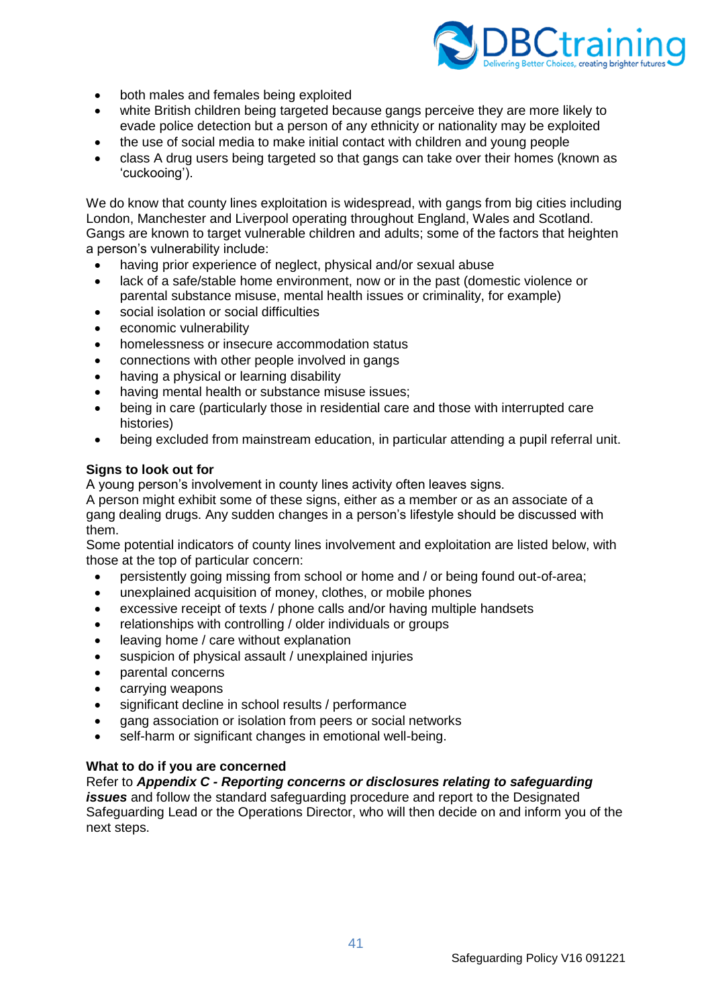

- both males and females being exploited
- white British children being targeted because gangs perceive they are more likely to evade police detection but a person of any ethnicity or nationality may be exploited
- the use of social media to make initial contact with children and young people
- class A drug users being targeted so that gangs can take over their homes (known as 'cuckooing').

We do know that county lines exploitation is widespread, with gangs from big cities including London, Manchester and Liverpool operating throughout England, Wales and Scotland. Gangs are known to target vulnerable children and adults; some of the factors that heighten a person's vulnerability include:

- having prior experience of neglect, physical and/or sexual abuse
- lack of a safe/stable home environment, now or in the past (domestic violence or parental substance misuse, mental health issues or criminality, for example)
- social isolation or social difficulties
- economic vulnerability
- homelessness or insecure accommodation status
- connections with other people involved in gangs
- having a physical or learning disability
- having mental health or substance misuse issues:
- being in care (particularly those in residential care and those with interrupted care histories)
- being excluded from mainstream education, in particular attending a pupil referral unit.

#### **Signs to look out for**

A young person's involvement in county lines activity often leaves signs.

A person might exhibit some of these signs, either as a member or as an associate of a gang dealing drugs. Any sudden changes in a person's lifestyle should be discussed with them.

Some potential indicators of county lines involvement and exploitation are listed below, with those at the top of particular concern:

- persistently going missing from school or home and / or being found out-of-area;
- unexplained acquisition of money, clothes, or mobile phones
- excessive receipt of texts / phone calls and/or having multiple handsets
- relationships with controlling / older individuals or groups
- leaving home / care without explanation
- suspicion of physical assault / unexplained injuries
- parental concerns
- carrying weapons
- significant decline in school results / performance
- gang association or isolation from peers or social networks
- self-harm or significant changes in emotional well-being.

## **What to do if you are concerned**

## Refer to *Appendix C - Reporting concerns or disclosures relating to safeguarding*

*issues* and follow the standard safeguarding procedure and report to the Designated Safeguarding Lead or the Operations Director, who will then decide on and inform you of the next steps.